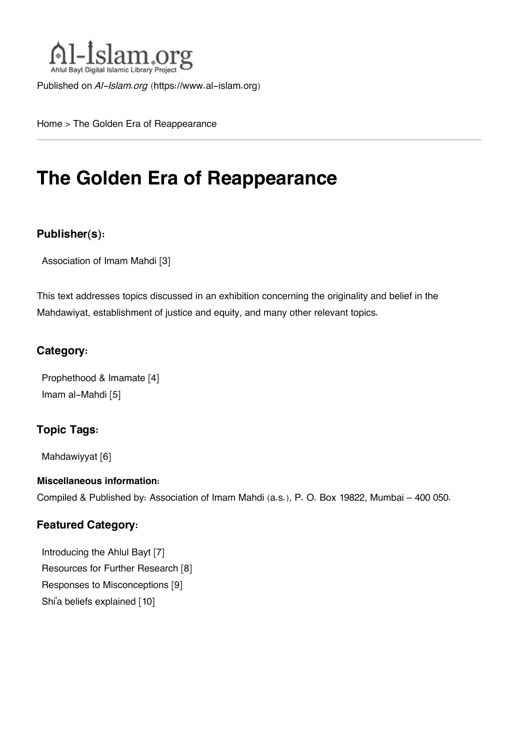

Published on *Al-Islam.org* ([https://www.al-islam.org\)](https://www.al-islam.org)

[Home](https://www.al-islam.org/) > The Golden Era of Reappearance

## **The Golden Era of Reappearance**

### **Publisher(s):**

[Association of Imam Mahdi](https://www.al-islam.org/organization/association-imam-mahdi) [3]

This text addresses topics discussed in an exhibition concerning the originality and belief in the Mahdawiyat, establishment of justice and equity, and many other relevant topics.

### **Category:**

[Prophethood & Imamate](https://www.al-islam.org/library/prophethood-imamate) [4] [Imam al-Mahdi](https://www.al-islam.org/library/imam-al-mahdi) [5]

### **Topic Tags:**

[Mahdawiyyat](https://www.al-islam.org/tags/mahdawiyyat) [6]

### **Miscellaneous information:**

Compiled & Published by: Association of Imam Mahdi (a.s.), P. O. Box 19822, Mumbai – 400 050.

### **Featured Category:**

[Introducing the Ahlul Bayt](https://www.al-islam.org/feature/introducing-ahlul-bayt) [7] [Resources for Further Research](https://www.al-islam.org/feature/resources-further-research) [8] [Responses to Misconceptions](https://www.al-islam.org/feature/responses-misconceptions) [9] Shi['a beliefs explained](https://www.al-islam.org/feature/shia-beliefs-explained) [10]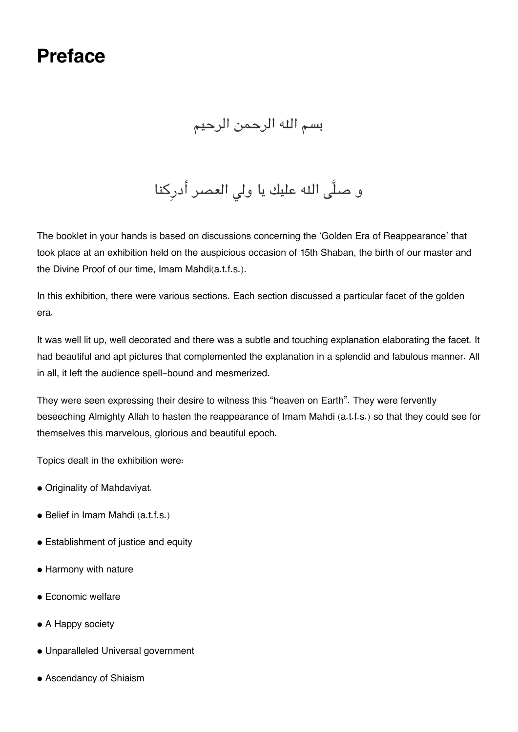## **Preface**

### بسم اله الرحمن الرحيم

و صلَّى الله عليك يا ولي العصر أدرِكنا

The booklet in your hands is based on discussions concerning the 'Golden Era of Reappearance' that took place at an exhibition held on the auspicious occasion of 15th Shaban, the birth of our master and the Divine Proof of our time, Imam Mahdi(a.t.f.s.).

In this exhibition, there were various sections. Each section discussed a particular facet of the golden era.

It was well lit up, well decorated and there was a subtle and touching explanation elaborating the facet. It had beautiful and apt pictures that complemented the explanation in a splendid and fabulous manner. All in all, it left the audience spell-bound and mesmerized.

They were seen expressing their desire to witness this "heaven on Earth". They were fervently beseeching Almighty Allah to hasten the reappearance of Imam Mahdi (a.t.f.s.) so that they could see for themselves this marvelous, glorious and beautiful epoch.

Topics dealt in the exhibition were:

- Originality of Mahdaviyat.
- Belief in Imam Mahdi (a.t.f.s.)
- Establishment of justice and equity
- Harmony with nature
- Economic welfare
- A Happy society
- Unparalleled Universal government
- Ascendancy of Shiaism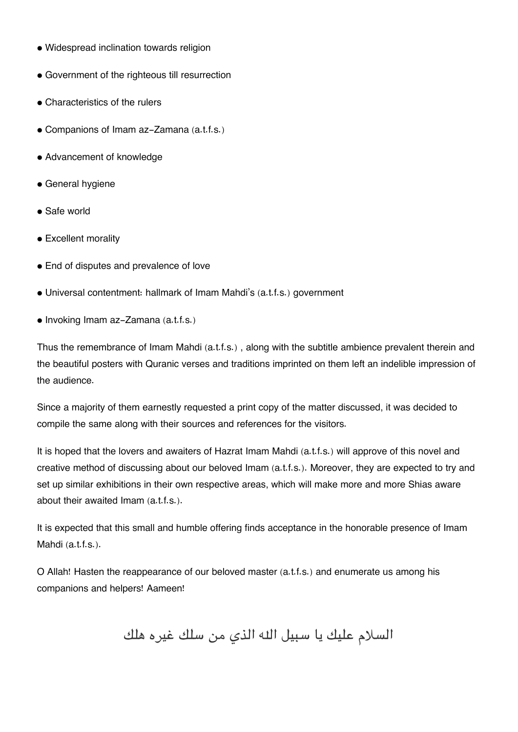- Widespread inclination towards religion
- Government of the righteous till resurrection
- Characteristics of the rulers
- Companions of Imam az-Zamana (a.t.f.s.)
- Advancement of knowledge
- General hygiene
- Safe world
- Excellent morality
- End of disputes and prevalence of love
- Universal contentment: hallmark of Imam Mahdi's (a.t.f.s.) government
- Invoking Imam az-Zamana (a.t.f.s.)

Thus the remembrance of Imam Mahdi (a.t.f.s.) , along with the subtitle ambience prevalent therein and the beautiful posters with Quranic verses and traditions imprinted on them left an indelible impression of the audience.

Since a majority of them earnestly requested a print copy of the matter discussed, it was decided to compile the same along with their sources and references for the visitors.

It is hoped that the lovers and awaiters of Hazrat Imam Mahdi (a.t.f.s.) will approve of this novel and creative method of discussing about our beloved Imam (a.t.f.s.). Moreover, they are expected to try and set up similar exhibitions in their own respective areas, which will make more and more Shias aware about their awaited Imam (a.t.f.s.).

It is expected that this small and humble offering finds acceptance in the honorable presence of Imam Mahdi (a.t.f.s.).

O Allah! Hasten the reappearance of our beloved master (a.t.f.s.) and enumerate us among his companions and helpers! Aameen!

السلام عليك يا سبيل اله الذي من سلك غيره هلك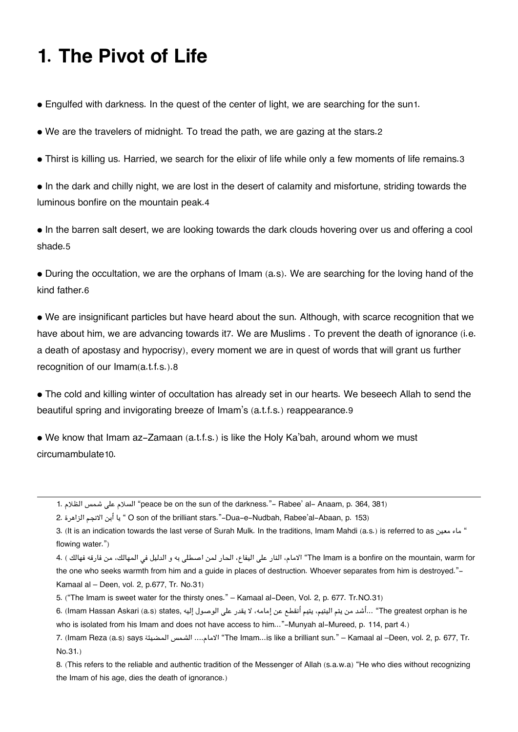## **1. The Pivot of Life**

• Engulfed with darkness. In the quest of the center of light, we are searching for the sun[1](#page--1-0).

• We are the travelers of midnight. To tread the path, we are gazing at the stars.[2](#page--1-0)

• Thirst is killing us. Harried, we search for the elixir of life while only a few moments of life remains.[3](#page--1-0)

• In the dark and chilly night, we are lost in the desert of calamity and misfortune, striding towards the luminous bonfire on the mountain peak.[4](#page--1-0)

• In the barren salt desert, we are looking towards the dark clouds hovering over us and offering a cool shade.[5](#page--1-0)

• During the occultation, we are the orphans of Imam (a.s). We are searching for the loving hand of the kind father.[6](#page--1-0)

• We are insignificant particles but have heard about the sun. Although, with scarce recognition that we have about him, we are advancing towards it[7](#page--1-0). We are Muslims . To prevent the death of ignorance (i.e. a death of apostasy and hypocrisy), every moment we are in quest of words that will grant us further recognition of our Imam(a.t.f.s.).[8](#page--1-0)

• The cold and killing winter of occultation has already set in our hearts. We beseech Allah to send the beautiful spring and invigorating breeze of Imam's (a.t.f.s.) reappearance.[9](#page--1-0)

• We know that Imam az-Zamaan (a.t.f.s.) is like the Holy Ka'bah, around whom we must circumambulate[10](#page--1-0).

[8.](#page--1-0) (This refers to the reliable and authentic tradition of the Messenger of Allah (s.a.w.a) "He who dies without recognizing the Imam of his age, dies the death of ignorance.)

[<sup>1.</sup>](#page--1-0) الظلام شمس عل السلام" peace be on the sun of the darkness."- Rabee' al- Anaam, p. 364, 381)

[<sup>2.</sup>](#page--1-0) الزاهرة الانجم أبن يا " O son of the brilliant stars."-Dua-e-Nudbah, Rabee'al-Abaan, p. 153)

[<sup>3.</sup>](#page--1-0) (It is an indication towards the last verse of Surah Mulk. In the traditions, Imam Mahdi (a.s.) is referred to as ساء معين as (It is an indication towards the last verse of Surah Mulk. In the traditions, Imam Mahdi (a. flowing water.")

for warm ,mountain the on bonfire a is Imam The "الامام، النار عل اليفاع، الحار لمن اصطل به و الدليل ف المهالك، من فارقه فهالك ) [4.](#page--1-0) the one who seeks warmth from him and a guide in places of destruction. Whoever separates from him is destroyed."-Kamaal al – Deen, vol. 2, p.677, Tr. No.31)

[<sup>5.</sup>](#page--1-0) ("The Imam is sweet water for the thirsty ones." – Kamaal al-Deen, Vol. 2, p. 677. Tr.NO.31)

he greatest orphan is he "...أشد من يتم اليتيم، يتيم أنقطع عن إمامه، لا يقدر على الوصول إليه ,G. (Imam Hassan Askari (a.s) states who is isolated from his Imam and does not have access to him..."-Munyah al-Mureed, p. 114, part 4.)

[<sup>7.</sup>](#page--1-0) (Imam Reza (a.s) says المضيئة الشمس ....الامام" The Imam...is like a brilliant sun." – Kamaal al –Deen, vol. 2, p. 677, Tr. No.31.)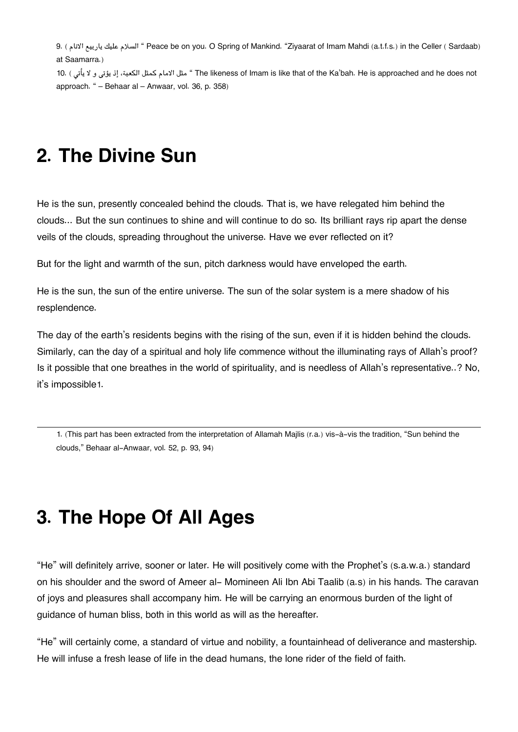[9.](#page--1-0) ( الانام ياربيع عليك السلام " Peace be on you. O Spring of Mankind. "Ziyaarat of Imam Mahdi (a.t.f.s.) in the Celler ( Sardaab) at Saamarra.) [10.](#page--1-0) ( يؤتى و لا يأتى ) 10. " The likeness of Imam is like that of the Ka'bah. He is approached and he does not

approach. " – Behaar al – Anwaar, vol. 36, p. 358)

## **2. The Divine Sun**

He is the sun, presently concealed behind the clouds. That is, we have relegated him behind the clouds... But the sun continues to shine and will continue to do so. Its brilliant rays rip apart the dense veils of the clouds, spreading throughout the universe. Have we ever reflected on it?

But for the light and warmth of the sun, pitch darkness would have enveloped the earth.

He is the sun, the sun of the entire universe. The sun of the solar system is a mere shadow of his resplendence.

The day of the earth's residents begins with the rising of the sun, even if it is hidden behind the clouds. Similarly, can the day of a spiritual and holy life commence without the illuminating rays of Allah's proof? Is it possible that one breathes in the world of spirituality, and is needless of Allah's representative..? No, it's impossible[1](#page--1-0).

[1.](#page--1-0) (This part has been extracted from the interpretation of Allamah Majlis (r.a.) vis-à-vis the tradition, "Sun behind the clouds," Behaar al-Anwaar, vol. 52, p. 93, 94)

## **3. The Hope Of All Ages**

"He" will definitely arrive, sooner or later. He will positively come with the Prophet's (s.a.w.a.) standard on his shoulder and the sword of Ameer al- Momineen Ali Ibn Abi Taalib (a.s) in his hands. The caravan of joys and pleasures shall accompany him. He will be carrying an enormous burden of the light of guidance of human bliss, both in this world as will as the hereafter.

"He" will certainly come, a standard of virtue and nobility, a fountainhead of deliverance and mastership. He will infuse a fresh lease of life in the dead humans, the lone rider of the field of faith.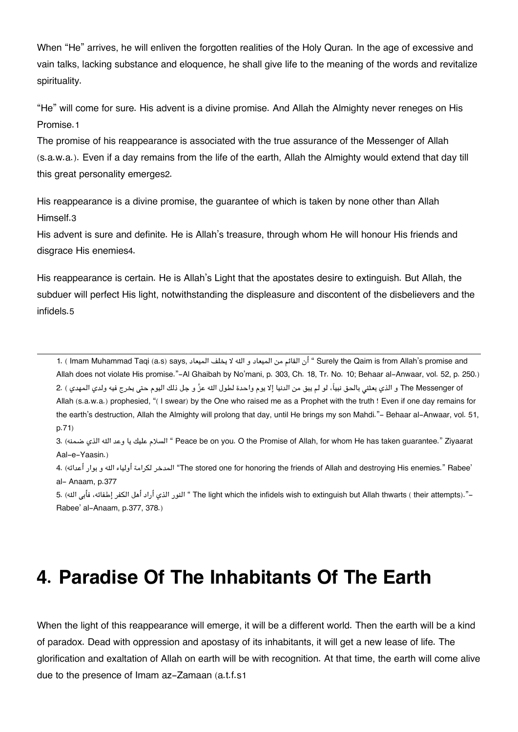When "He" arrives, he will enliven the forgotten realities of the Holy Quran. In the age of excessive and vain talks, lacking substance and eloquence, he shall give life to the meaning of the words and revitalize spirituality.

"He" will come for sure. His advent is a divine promise. And Allah the Almighty never reneges on His Promise.[1](#page--1-0)

The promise of his reappearance is associated with the true assurance of the Messenger of Allah (s.a.w.a.). Even if a day remains from the life of the earth, Allah the Almighty would extend that day till this great personality emerges[2](#page--1-0).

His reappearance is a divine promise, the guarantee of which is taken by none other than Allah Himself.[3](#page--1-0)

His advent is sure and definite. He is Allah's treasure, through whom He will honour His friends and disgrace His enemies[4](#page--1-0).

His reappearance is certain. He is Allah's Light that the apostates desire to extinguish. But Allah, the subduer will perfect His light, notwithstanding the displeasure and discontent of the disbelievers and the infidels.[5](#page--1-0)

[1.](#page--1-0) ( Imam Muhammad Taqi (a.s) says, الميعاد يخلف لا هال و الميعاد من القائم أن " Surely the Qaim is from Allah's promise and Allah does not violate His promise."-Al Ghaibah by No'mani, p. 303, Ch. 18, Tr. No. 10; Behaar al-Anwaar, vol. 52, p. 250.) The Messenger of و الذي بعثني بالحق نبياً، لو لم يبق من الدنيا إلا يوم واحدة لطول الله عزَّ و جل ذلك اليوم حتى يخرج فيه ولدي المهدي ) .2 Allah (s.a.w.a.) prophesied, "( I swear) by the One who raised me as a Prophet with the truth ! Even if one day remains for the earth's destruction, Allah the Almighty will prolong that day, until He brings my son Mahdi."- Behaar al-Anwaar, vol. 51, p.71)

[3.](#page--1-0) (ضمنه الذي هال وعد يا عليك السلام " Peace be on you. O the Promise of Allah, for whom He has taken guarantee." Ziyaarat Aal-e-Yaasin.)

[4.](#page--1-0) (أعدائه بوار و هال أولياء رامةل المدخر" The stored one for honoring the friends of Allah and destroying His enemies." Rabee' al- Anaam, p.377

[5.](#page--1-0) (هال فأب ،إطفائه فرال أهل أراد الذي النور " The light which the infidels wish to extinguish but Allah thwarts ( their attempts)."- Rabee' al-Anaam, p.377, 378.)

## **4. Paradise Of The Inhabitants Of The Earth**

When the light of this reappearance will emerge, it will be a different world. Then the earth will be a kind of paradox. Dead with oppression and apostasy of its inhabitants, it will get a new lease of life. The glorification and exaltation of Allah on earth will be with recognition. At that time, the earth will come alive due to the presence of Imam az-Zamaan (a.t.f.s[1](#page--1-0)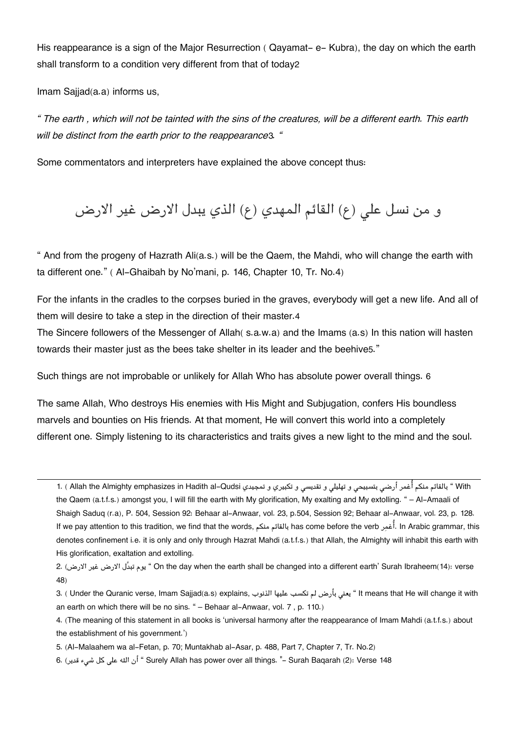His reappearance is a sign of the Major Resurrection ( Qayamat- e- Kubra), the day on which the earth shall transform to a condition very different from that of today[2](#page--1-0)

Imam Sajjad(a.a) informs us,

*" The earth , which will not be tainted with the sins of the creatures, will be a different earth. This earth will be distinct from the earth prior to the reappearance*[3](#page--1-0)*. "*

Some commentators and interpreters have explained the above concept thus:

و من نسل على (ع) القائم المهدي (ع) الذي يبدل الارض غير الارض

" And from the progeny of Hazrath Ali(a.s.) will be the Qaem, the Mahdi, who will change the earth with ta different one." ( Al-Ghaibah by No'mani, p. 146, Chapter 10, Tr. No.4)

For the infants in the cradles to the corpses buried in the graves, everybody will get a new life. And all of them will desire to take a step in the direction of their master.[4](#page--1-0)

The Sincere followers of the Messenger of Allah( s.a.w.a) and the Imams (a.s) In this nation will hasten towards their master just as the bees take shelter in its leader and the beehive[5](#page--1-0)."

Such things are not improbable or unlikely for Allah Who has absolute power overall things. [6](#page--1-0)

The same Allah, Who destroys His enemies with His Might and Subjugation, confers His boundless marvels and bounties on His friends. At that moment, He will convert this world into a completely different one. Simply listening to its characteristics and traits gives a new light to the mind and the soul.

With " بالقائم منكم أُغمر أرضى بتسبيحي و تهليلي و تقديسي و تكبيري و تمجيدي Allah the Almighty emphasizes in Hadith al–Qudsi ) .1 the Qaem (a.t.f.s.) amongst you, I will fill the earth with My glorification, My exalting and My extolling. " – Al-Amaali of Shaigh Saduq (r.a), P. 504, Session 92: Behaar al-Anwaar, vol. 23, p.504, Session 92; Behaar al-Anwaar, vol. 23, p. 128. If we pay attention to this tradition, we find that the words, ممن بالقائم has come before the verb رغما. In Arabic grammar, this denotes confinement i.e. it is only and only through Hazrat Mahdi (a.t.f.s.) that Allah, the Almighty will inhabit this earth with His glorification, exaltation and extolling.

[2.](#page--1-0) (الارض غير الارض تبدَّل يوم " On the day when the earth shall be changed into a different earth' Surah Ibraheem(14): verse 48)

- [3.](#page--1-0) ( Under the Quranic verse, Imam Sajjad(a.s) explains, الذنوب عليها سبت لم بأرض يعن " It means that He will change it with an earth on which there will be no sins. " – Behaar al-Anwaar, vol. 7 , p. 110.)
- [4.](#page--1-0) (The meaning of this statement in all books is 'universal harmony after the reappearance of Imam Mahdi (a.t.f.s.) about the establishment of his government.')
- [5.](#page--1-0) (Al-Malaahem wa al-Fetan, p. 70; Muntakhab al-Asar, p. 488, Part 7, Chapter 7, Tr. No.2)

[6.](#page--1-0) (قدير ءش كل عل هال أن " Surely Allah has power over all things. "- Surah Baqarah (2): Verse 148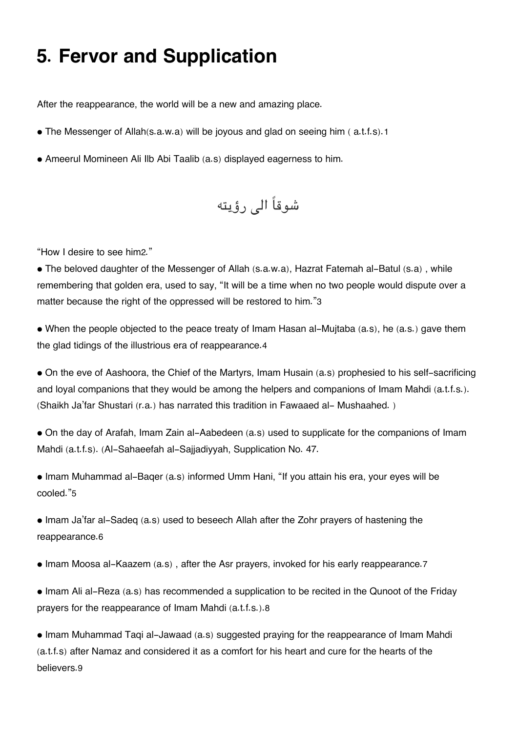## **5. Fervor and Supplication**

After the reappearance, the world will be a new and amazing place.

- The Messenger of Allah(s.a.w.a) will be joyous and glad on seeing him (a.t.f.s).[1](#page--1-0)
- Ameerul Momineen Ali Ilb Abi Taalib (a.s) displayed eagerness to him.

شوقاً ال رؤيته

"How I desire to see him[2](#page--1-0)."

• The beloved daughter of the Messenger of Allah (s.a.w.a), Hazrat Fatemah al-Batul (s.a), while remembering that golden era, used to say, "It will be a time when no two people would dispute over a matter because the right of the oppressed will be restored to him."[3](#page--1-0)

• When the people objected to the peace treaty of Imam Hasan al-Mujtaba (a.s), he (a.s.) gave them the glad tidings of the illustrious era of reappearance.[4](#page--1-0)

• On the eve of Aashoora, the Chief of the Martyrs, Imam Husain (a.s) prophesied to his self-sacrificing and loyal companions that they would be among the helpers and companions of Imam Mahdi (a.t.f.s.). (Shaikh Ja'far Shustari (r.a.) has narrated this tradition in Fawaaed al- Mushaahed. )

• On the day of Arafah, Imam Zain al-Aabedeen (a.s) used to supplicate for the companions of Imam Mahdi (a.t.f.s). (Al-Sahaeefah al-Sajjadiyyah, Supplication No. 47.

• Imam Muhammad al-Baqer (a.s) informed Umm Hani, "If you attain his era, your eyes will be cooled."[5](#page--1-0)

• Imam Ja'far al-Sadeq (a.s) used to beseech Allah after the Zohr prayers of hastening the reappearance.[6](#page--1-0)

• Imam Moosa al-Kaazem (a.s) , after the Asr prayers, invoked for his early reappearance.[7](#page--1-0)

• Imam Ali al-Reza (a.s) has recommended a supplication to be recited in the Qunoot of the Friday prayers for the reappearance of Imam Mahdi (a.t.f.s.).[8](#page--1-0)

• Imam Muhammad Taqi al-Jawaad (a.s) suggested praying for the reappearance of Imam Mahdi (a.t.f.s) after Namaz and considered it as a comfort for his heart and cure for the hearts of the believers.[9](#page--1-0)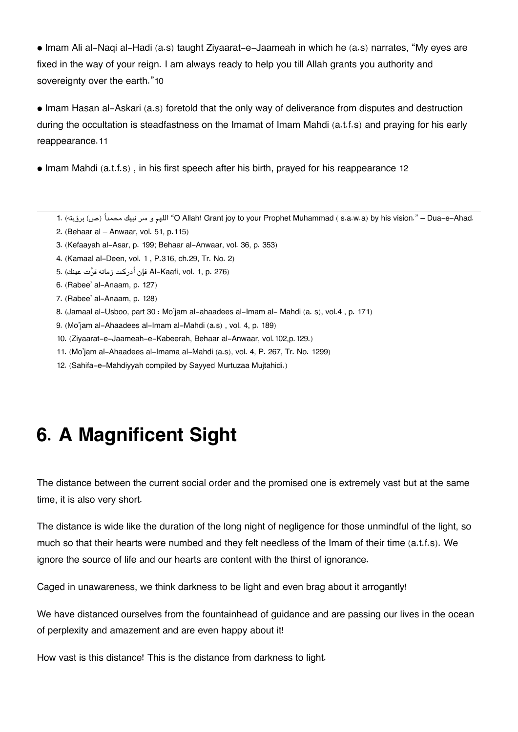• Imam Ali al-Naqi al-Hadi (a.s) taught Ziyaarat-e-Jaameah in which he (a.s) narrates, "My eyes are fixed in the way of your reign. I am always ready to help you till Allah grants you authority and sovereignty over the earth."[10](#page--1-0)

• Imam Hasan al-Askari (a.s) foretold that the only way of deliverance from disputes and destruction during the occultation is steadfastness on the Imamat of Imam Mahdi (a.t.f.s) and praying for his early reappearance.[11](#page--1-0)

• Imam Mahdi (a.t.f.s), in his first speech after his birth, prayed for his reappearance [12](#page--1-0)

- [1.](#page--1-0) (ص) برؤيته) "O Allah! Grant joy to your Prophet Muhammad ( s.a.w.a) by his vision." Dua-e-Ahad.
- [2.](#page--1-0) (Behaar al Anwaar, vol. 51, p.115)
- [3.](#page--1-0) (Kefaayah al-Asar, p. 199; Behaar al-Anwaar, vol. 36, p. 353)
- [4.](#page--1-0) (Kamaal al-Deen, vol. 1 , P.316, ch.29, Tr. No. 2)
- (276 .p 1, .vol ,Kaafi-Al فإن أدركت زمانه قرت عينك) [5.](#page--1-0)
- [6.](#page--1-0) (Rabee' al-Anaam, p. 127)
- [7.](#page--1-0) (Rabee' al-Anaam, p. 128)
- [8.](#page--1-0) (Jamaal al-Usboo, part 30 : Mo'jam al-ahaadees al-Imam al- Mahdi (a. s), vol.4 , p. 171)
- [9.](#page--1-0) (Mo'jam al-Ahaadees al-Imam al-Mahdi (a.s) , vol. 4, p. 189)
- [10.](#page--1-0) (Ziyaarat-e-Jaameah-e-Kabeerah, Behaar al-Anwaar, vol.102,p.129.)
- [11.](#page--1-0) (Mo'jam al-Ahaadees al-Imama al-Mahdi (a.s), vol. 4, P. 267, Tr. No. 1299)
- [12.](#page--1-0) (Sahifa-e-Mahdiyyah compiled by Sayyed Murtuzaa Mujtahidi.)

## **6. A Magnificent Sight**

The distance between the current social order and the promised one is extremely vast but at the same time, it is also very short.

The distance is wide like the duration of the long night of negligence for those unmindful of the light, so much so that their hearts were numbed and they felt needless of the Imam of their time (a.t.f.s). We ignore the source of life and our hearts are content with the thirst of ignorance.

Caged in unawareness, we think darkness to be light and even brag about it arrogantly!

We have distanced ourselves from the fountainhead of guidance and are passing our lives in the ocean of perplexity and amazement and are even happy about it!

How vast is this distance! This is the distance from darkness to light.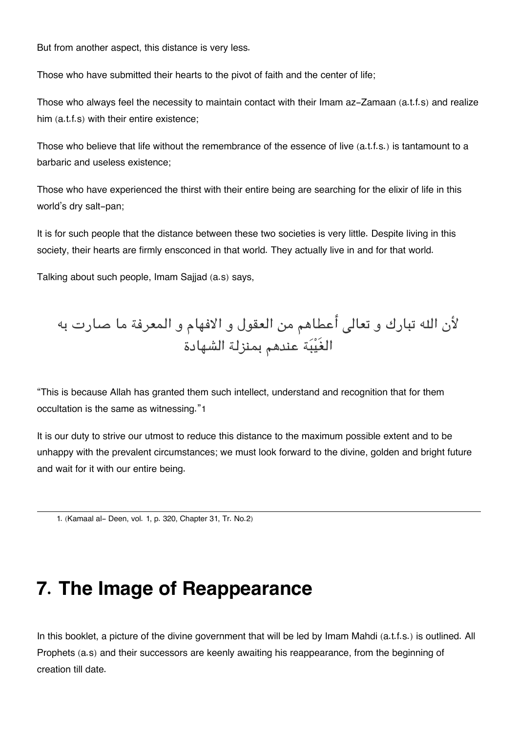But from another aspect, this distance is very less.

Those who have submitted their hearts to the pivot of faith and the center of life;

Those who always feel the necessity to maintain contact with their Imam az-Zamaan (a.t.f.s) and realize him (a.t.f.s) with their entire existence;

Those who believe that life without the remembrance of the essence of live (a.t.f.s.) is tantamount to a barbaric and useless existence;

Those who have experienced the thirst with their entire being are searching for the elixir of life in this world's dry salt-pan;

It is for such people that the distance between these two societies is very little. Despite living in this society, their hearts are firmly ensconced in that world. They actually live in and for that world.

Talking about such people, Imam Sajjad (a.s) says,

لأن الله تبارك و تعالى أعطاهم من العقول و الافهام و المعرفة ما صارت به الغَيبة عندهم بمنزلة الشهادة

"This is because Allah has granted them such intellect, understand and recognition that for them occultation is the same as witnessing."[1](#page--1-0)

It is our duty to strive our utmost to reduce this distance to the maximum possible extent and to be unhappy with the prevalent circumstances; we must look forward to the divine, golden and bright future and wait for it with our entire being.

[1.](#page--1-0) (Kamaal al- Deen, vol. 1, p. 320, Chapter 31, Tr. No.2)

## **7. The Image of Reappearance**

In this booklet, a picture of the divine government that will be led by Imam Mahdi (a.t.f.s.) is outlined. All Prophets (a.s) and their successors are keenly awaiting his reappearance, from the beginning of creation till date.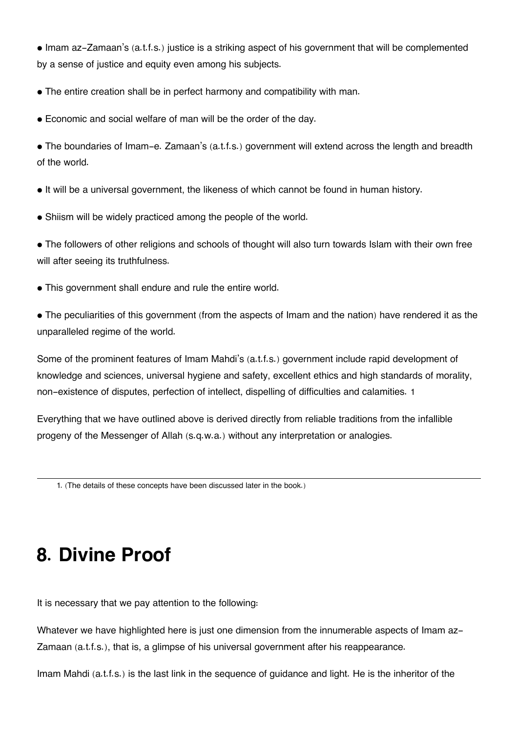• Imam az-Zamaan's (a.t.f.s.) justice is a striking aspect of his government that will be complemented by a sense of justice and equity even among his subjects.

• The entire creation shall be in perfect harmony and compatibility with man.

• Economic and social welfare of man will be the order of the day.

• The boundaries of Imam-e. Zamaan's (a.t.f.s.) government will extend across the length and breadth of the world.

• It will be a universal government, the likeness of which cannot be found in human history.

• Shiism will be widely practiced among the people of the world.

• The followers of other religions and schools of thought will also turn towards Islam with their own free will after seeing its truthfulness.

• This government shall endure and rule the entire world.

• The peculiarities of this government (from the aspects of Imam and the nation) have rendered it as the unparalleled regime of the world.

Some of the prominent features of Imam Mahdi's (a.t.f.s.) government include rapid development of knowledge and sciences, universal hygiene and safety, excellent ethics and high standards of morality, non-existence of disputes, perfection of intellect, dispelling of difficulties and calamities. [1](#page--1-0)

Everything that we have outlined above is derived directly from reliable traditions from the infallible progeny of the Messenger of Allah (s.q.w.a.) without any interpretation or analogies.

[1.](#page--1-0) (The details of these concepts have been discussed later in the book.)

## **8. Divine Proof**

It is necessary that we pay attention to the following:

Whatever we have highlighted here is just one dimension from the innumerable aspects of Imam az-Zamaan (a.t.f.s.), that is, a glimpse of his universal government after his reappearance.

Imam Mahdi (a.t.f.s.) is the last link in the sequence of guidance and light. He is the inheritor of the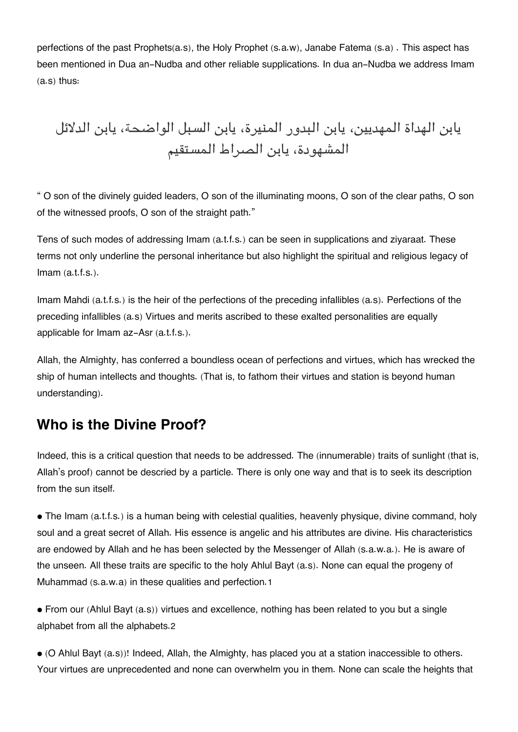perfections of the past Prophets(a.s), the Holy Prophet (s.a.w), Janabe Fatema (s.a) . This aspect has been mentioned in Dua an-Nudba and other reliable supplications. In dua an-Nudba we address Imam (a.s) thus:

يابن الهداة المهديين، يابن البدور المنيرة، يابن السبل الواضحة، يابن الدلائل المشهودة، يابن الصراط المستقيم

" O son of the divinely guided leaders, O son of the illuminating moons, O son of the clear paths, O son of the witnessed proofs, O son of the straight path."

Tens of such modes of addressing Imam (a.t.f.s.) can be seen in supplications and ziyaraat. These terms not only underline the personal inheritance but also highlight the spiritual and religious legacy of  $Imam (a.t.f.s.).$ 

Imam Mahdi (a.t.f.s.) is the heir of the perfections of the preceding infallibles (a.s). Perfections of the preceding infallibles (a.s) Virtues and merits ascribed to these exalted personalities are equally applicable for Imam az-Asr (a.t.f.s.).

Allah, the Almighty, has conferred a boundless ocean of perfections and virtues, which has wrecked the ship of human intellects and thoughts. (That is, to fathom their virtues and station is beyond human understanding).

### **[Who is the Divine Proof?](#page--1-0)**

Indeed, this is a critical question that needs to be addressed. The (innumerable) traits of sunlight (that is, Allah's proof) cannot be descried by a particle. There is only one way and that is to seek its description from the sun itself.

• The Imam (a.t.f.s.) is a human being with celestial qualities, heavenly physique, divine command, holy soul and a great secret of Allah. His essence is angelic and his attributes are divine. His characteristics are endowed by Allah and he has been selected by the Messenger of Allah (s.a.w.a.). He is aware of the unseen. All these traits are specific to the holy Ahlul Bayt (a.s). None can equal the progeny of Muhammad (s.a.w.a) in these qualities and perfection.[1](#page--1-0)

• From our (Ahlul Bayt (a.s)) virtues and excellence, nothing has been related to you but a single alphabet from all the alphabets.[2](#page--1-0)

• (O Ahlul Bayt (a.s))! Indeed, Allah, the Almighty, has placed you at a station inaccessible to others. Your virtues are unprecedented and none can overwhelm you in them. None can scale the heights that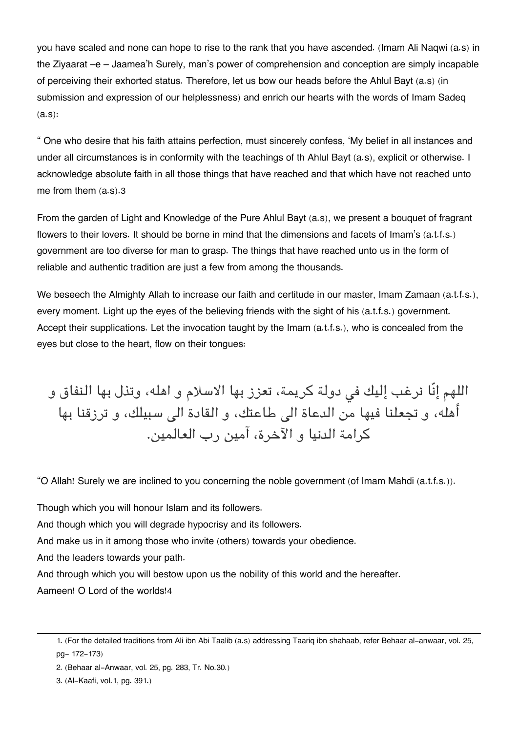you have scaled and none can hope to rise to the rank that you have ascended. (Imam Ali Naqwi (a.s) in the Ziyaarat –e – Jaamea'h Surely, man's power of comprehension and conception are simply incapable of perceiving their exhorted status. Therefore, let us bow our heads before the Ahlul Bayt (a.s) (in submission and expression of our helplessness) and enrich our hearts with the words of Imam Sadeq (a.s):

" One who desire that his faith attains perfection, must sincerely confess, 'My belief in all instances and under all circumstances is in conformity with the teachings of th Ahlul Bayt (a.s), explicit or otherwise. I acknowledge absolute faith in all those things that have reached and that which have not reached unto me from them (a.s).[3](#page--1-0)

From the garden of Light and Knowledge of the Pure Ahlul Bayt (a.s), we present a bouquet of fragrant flowers to their lovers. It should be borne in mind that the dimensions and facets of Imam's (a.t.f.s.) government are too diverse for man to grasp. The things that have reached unto us in the form of reliable and authentic tradition are just a few from among the thousands.

We beseech the Almighty Allah to increase our faith and certitude in our master, Imam Zamaan (a.t.f.s.), every moment. Light up the eyes of the believing friends with the sight of his (a.t.f.s.) government. Accept their supplications. Let the invocation taught by the Imam (a.t.f.s.), who is concealed from the eyes but close to the heart, flow on their tongues:

اللهم إنّا نرغب إليك في دولة كريمة، تعزز بها الاسلام و اهله، وتذل بها النفاق و أهله، و تجعلنا فيها من الدعاة الى طاعتك، و القادة الى سبيلك، و ترزقنا بها كرامة الدنيا و الآخرة، آمين رب العالمين.

"O Allah! Surely we are inclined to you concerning the noble government (of Imam Mahdi (a.t.f.s.)).

Though which you will honour Islam and its followers.

And though which you will degrade hypocrisy and its followers.

And make us in it among those who invite (others) towards your obedience.

And the leaders towards your path.

And through which you will bestow upon us the nobility of this world and the hereafter.

Aameen! O Lord of the worlds![4](#page--1-0)

[<sup>1.</sup>](#page--1-0) (For the detailed traditions from Ali ibn Abi Taalib (a.s) addressing Taariq ibn shahaab, refer Behaar al-anwaar, vol. 25, pg- 172-173)

[<sup>2.</sup>](#page--1-0) (Behaar al-Anwaar, vol. 25, pg. 283, Tr. No.30.)

[<sup>3.</sup>](#page--1-0) (Al-Kaafi, vol.1, pg. 391.)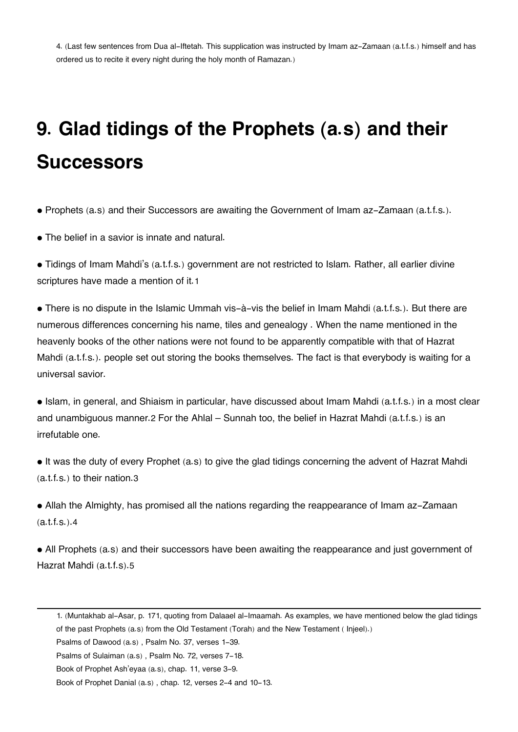[4.](#page--1-0) (Last few sentences from Dua al-Iftetah. This supplication was instructed by Imam az-Zamaan (a.t.f.s.) himself and has ordered us to recite it every night during the holy month of Ramazan.)

# **9. Glad tidings of the Prophets (a.s) and their Successors**

• Prophets (a.s) and their Successors are awaiting the Government of Imam az-Zamaan (a.t.f.s.).

• The belief in a savior is innate and natural.

• Tidings of Imam Mahdi's (a.t.f.s.) government are not restricted to Islam. Rather, all earlier divine scriptures have made a mention of it.[1](#page--1-0)

• There is no dispute in the Islamic Ummah vis-à-vis the belief in Imam Mahdi (a.t.f.s.). But there are numerous differences concerning his name, tiles and genealogy . When the name mentioned in the heavenly books of the other nations were not found to be apparently compatible with that of Hazrat Mahdi (a.t.f.s.). people set out storing the books themselves. The fact is that everybody is waiting for a universal savior.

• Islam, in general, and Shiaism in particular, have discussed about Imam Mahdi (a.t.f.s.) in a most clear and unambiguous manner.[2](#page--1-0) For the Ahlal – Sunnah too, the belief in Hazrat Mahdi (a.t.f.s.) is an irrefutable one.

• It was the duty of every Prophet (a.s) to give the glad tidings concerning the advent of Hazrat Mahdi (a.t.f.s.) to their nation.[3](#page--1-0)

• Allah the Almighty, has promised all the nations regarding the reappearance of Imam az-Zamaan (a.t.f.s.).[4](#page--1-0)

• All Prophets (a.s) and their successors have been awaiting the reappearance and just government of Hazrat Mahdi (a.t.f.s).[5](#page--1-0)

[<sup>1.</sup>](#page--1-0) (Muntakhab al-Asar, p. 171, quoting from Dalaael al-Imaamah. As examples, we have mentioned below the glad tidings

of the past Prophets (a.s) from the Old Testament (Torah) and the New Testament ( Injeel).)

Psalms of Dawood (a.s) , Psalm No. 37, verses 1-39.

Psalms of Sulaiman (a.s) , Psalm No. 72, verses 7-18.

Book of Prophet Ash'eyaa (a.s), chap. 11, verse 3-9.

Book of Prophet Danial (a.s) , chap. 12, verses 2-4 and 10-13.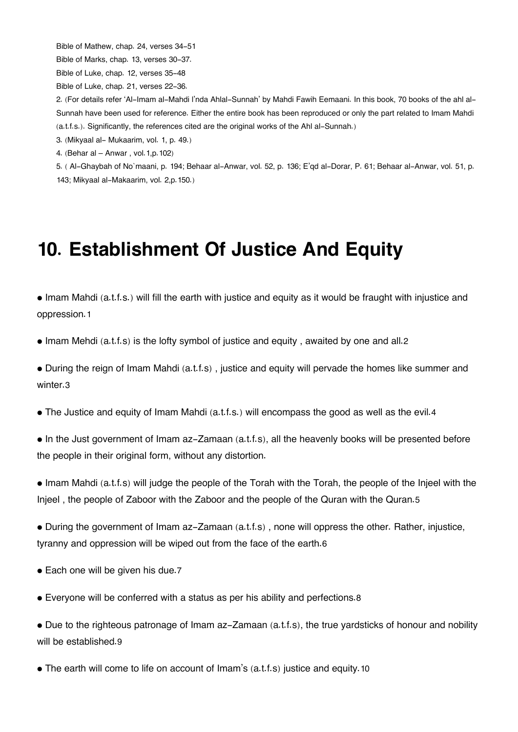Bible of Mathew, chap. 24, verses 34-51

Bible of Marks, chap. 13, verses 30-37.

Bible of Luke, chap. 12, verses 35-48

Bible of Luke, chap. 21, verses 22-36.

[2.](#page--1-0) (For details refer 'Al-Imam al-Mahdi l'nda Ahlal-Sunnah' by Mahdi Fawih Eemaani. In this book, 70 books of the ahl al-Sunnah have been used for reference. Either the entire book has been reproduced or only the part related to Imam Mahdi (a.t.f.s.). Significantly, the references cited are the original works of the Ahl al-Sunnah.)

[3.](#page--1-0) (Mikyaal al- Mukaarim, vol. 1, p. 49.)

[4.](#page--1-0) (Behar al – Anwar , vol.1,p.102)

[5.](#page--1-0) ( Al-Ghaybah of No`maani, p. 194; Behaar al-Anwar, vol. 52, p. 136; E'qd al-Dorar, P. 61; Behaar al-Anwar, vol. 51, p. 143; Mikyaal al-Makaarim, vol. 2,p.150.)

## **10. Establishment Of Justice And Equity**

• Imam Mahdi (a.t.f.s.) will fill the earth with justice and equity as it would be fraught with injustice and oppression.[1](#page--1-0)

• Imam Mehdi (a.t.f.s) is the lofty symbol of justice and equity, awaited by one and all.[2](#page--1-0)

• During the reign of Imam Mahdi (a.t.f.s) , justice and equity will pervade the homes like summer and winter.[3](#page--1-0)

• The Justice and equity of Imam Mahdi (a.t.f.s.) will encompass the good as well as the evil.[4](#page--1-0)

• In the Just government of Imam az-Zamaan (a.t.f.s), all the heavenly books will be presented before the people in their original form, without any distortion.

• Imam Mahdi (a.t.f.s) will judge the people of the Torah with the Torah, the people of the Injeel with the Injeel , the people of Zaboor with the Zaboor and the people of the Quran with the Quran.[5](#page--1-0)

• During the government of Imam az-Zamaan (a.t.f.s) , none will oppress the other. Rather, injustice, tyranny and oppression will be wiped out from the face of the earth.[6](#page--1-0)

• Each one will be given his due.[7](#page--1-0)

• Everyone will be conferred with a status as per his ability and perfections.[8](#page--1-0)

• Due to the righteous patronage of Imam az-Zamaan (a.t.f.s), the true yardsticks of honour and nobility will be established.[9](#page--1-0)

• The earth will come to life on account of Imam's (a.t.f.s) justice and equity.[10](#page--1-0)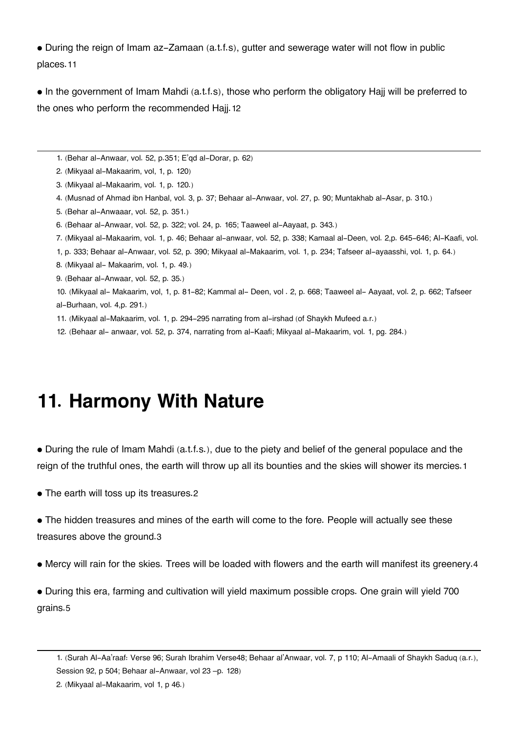• During the reign of Imam az-Zamaan (a.t.f.s), gutter and sewerage water will not flow in public places.[11](#page--1-0)

• In the government of Imam Mahdi (a.t.f.s), those who perform the obligatory Hajj will be preferred to the ones who perform the recommended Hajj.[12](#page--1-0)

- [1.](#page--1-0) (Behar al-Anwaar, vol. 52, p.351; E'qd al-Dorar, p. 62)
- [2.](#page--1-0) (Mikyaal al-Makaarim, vol, 1, p. 120)
- [3.](#page--1-0) (Mikyaal al-Makaarim, vol. 1, p. 120.)
- [4.](#page--1-0) (Musnad of Ahmad ibn Hanbal, vol. 3, p. 37; Behaar al-Anwaar, vol. 27, p. 90; Muntakhab al-Asar, p. 310.)
- [5.](#page--1-0) (Behar al-Anwaaar, vol. 52, p. 351.)
- [6.](#page--1-0) (Behaar al-Anwaar, vol. 52, p. 322; vol. 24, p. 165; Taaweel al-Aayaat, p. 343.)
- [7.](#page--1-0) (Mikyaal al-Makaarim, vol. 1, p. 46; Behaar al-anwaar, vol. 52, p. 338; Kamaal al-Deen, vol. 2,p. 645-646; Al-Kaafi, vol.
- 1, p. 333; Behaar al-Anwaar, vol. 52, p. 390; Mikyaal al-Makaarim, vol. 1, p. 234; Tafseer al-ayaasshi, vol. 1, p. 64.)
- [8.](#page--1-0) (Mikyaal al- Makaarim, vol. 1, p. 49.)
- [9.](#page--1-0) (Behaar al-Anwaar, vol. 52, p. 35.)
- [10.](#page--1-0) (Mikyaal al- Makaarim, vol, 1, p. 81-82; Kammal al- Deen, vol . 2, p. 668; Taaweel al- Aayaat, vol. 2, p. 662; Tafseer al-Burhaan, vol. 4,p. 291.)
- [11.](#page--1-0) (Mikyaal al-Makaarim, vol. 1, p. 294-295 narrating from al-irshad (of Shaykh Mufeed a.r.)
- [12.](#page--1-0) (Behaar al- anwaar, vol. 52, p. 374, narrating from al-Kaafi; Mikyaal al-Makaarim, vol. 1, pg. 284.)

## **11. Harmony With Nature**

• During the rule of Imam Mahdi (a.t.f.s.), due to the piety and belief of the general populace and the reign of the truthful ones, the earth will throw up all its bounties and the skies will shower its mercies.[1](#page--1-0)

• The earth will toss up its treasures.[2](#page--1-0)

• The hidden treasures and mines of the earth will come to the fore. People will actually see these treasures above the ground.[3](#page--1-0)

• Mercy will rain for the skies. Trees will be loaded with flowers and the earth will manifest its greenery.[4](#page--1-0)

• During this era, farming and cultivation will yield maximum possible crops. One grain will yield 700 grains.[5](#page--1-0)

[<sup>1.</sup>](#page--1-0) (Surah Al-Aa'raaf: Verse 96; Surah Ibrahim Verse48; Behaar al'Anwaar, vol. 7, p 110; Al-Amaali of Shaykh Saduq (a.r.), Session 92, p 504; Behaar al-Anwaar, vol 23 –p. 128)

[<sup>2.</sup>](#page--1-0) (Mikyaal al-Makaarim, vol 1, p 46.)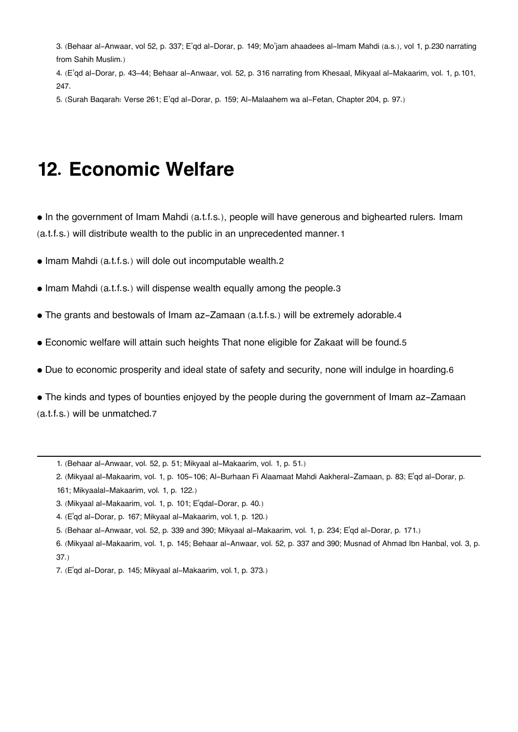[3.](#page--1-0) (Behaar al-Anwaar, vol 52, p. 337; E'qd al-Dorar, p. 149; Mo'jam ahaadees al-Imam Mahdi (a.s.), vol 1, p.230 narrating from Sahih Muslim.)

[4.](#page--1-0) (E'qd al-Dorar, p. 43-44; Behaar al-Anwaar, vol. 52, p. 316 narrating from Khesaal, Mikyaal al-Makaarim, vol. 1, p.101, 247.

[5.](#page--1-0) (Surah Baqarah: Verse 261; E'qd al-Dorar, p. 159; Al-Malaahem wa al-Fetan, Chapter 204, p. 97.)

### **12. Economic Welfare**

• In the government of Imam Mahdi (a.t.f.s.), people will have generous and bighearted rulers. Imam (a.t.f.s.) will distribute wealth to the public in an unprecedented manner.[1](#page--1-0)

• Imam Mahdi (a.t.f.s.) will dole out incomputable wealth.[2](#page--1-0)

- Imam Mahdi (a.t.f.s.) will dispense wealth equally among the people.[3](#page--1-0)
- The grants and bestowals of Imam az-Zamaan (a.t.f.s.) will be extremely adorable.[4](#page--1-0)
- Economic welfare will attain such heights That none eligible for Zakaat will be found.[5](#page--1-0)
- Due to economic prosperity and ideal state of safety and security, none will indulge in hoarding.[6](#page--1-0)

• The kinds and types of bounties enjoyed by the people during the government of Imam az-Zamaan (a.t.f.s.) will be unmatched.[7](#page--1-0)

- [1.](#page--1-0) (Behaar al-Anwaar, vol. 52, p. 51; Mikyaal al-Makaarim, vol. 1, p. 51.)
- [2.](#page--1-0) (Mikyaal al-Makaarim, vol. 1, p. 105-106; Al-Burhaan Fi Alaamaat Mahdi Aakheral-Zamaan, p. 83; E'qd al-Dorar, p. 161; Mikyaalal-Makaarim, vol. 1, p. 122.)
- [3.](#page--1-0) (Mikyaal al-Makaarim, vol. 1, p. 101; E'qdal-Dorar, p. 40.)
- [4.](#page--1-0) (E'qd al-Dorar, p. 167; Mikyaal al-Makaarim, vol.1, p. 120.)
- [5.](#page--1-0) (Behaar al-Anwaar, vol. 52, p. 339 and 390; Mikyaal al-Makaarim, vol. 1, p. 234; E'qd al-Dorar, p. 171.)
- [6.](#page--1-0) (Mikyaal al-Makaarim, vol. 1, p. 145; Behaar al-Anwaar, vol. 52, p. 337 and 390; Musnad of Ahmad Ibn Hanbal, vol. 3, p. 37.)
- [7.](#page--1-0) (E'qd al-Dorar, p. 145; Mikyaal al-Makaarim, vol.1, p. 373.)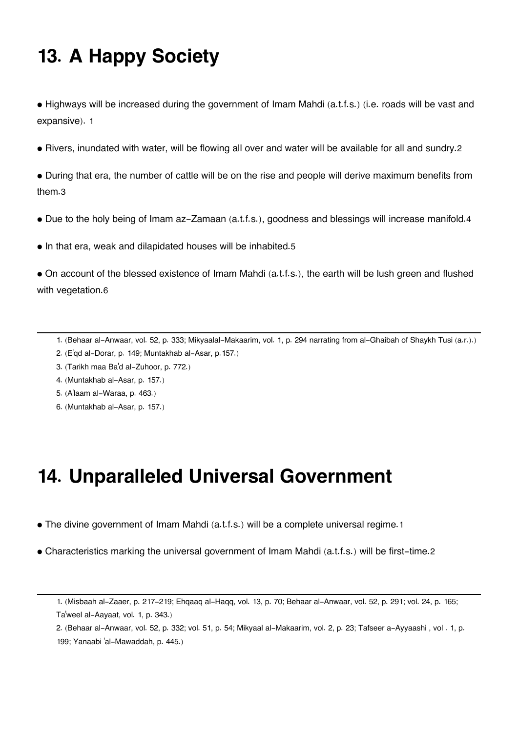## **13. A Happy Society**

• Highways will be increased during the government of Imam Mahdi (a.t.f.s.) (i.e. roads will be vast and expansive). [1](#page--1-0)

• Rivers, inundated with water, will be flowing all over and water will be available for all and sundry.[2](#page--1-0)

• During that era, the number of cattle will be on the rise and people will derive maximum benefits from them.[3](#page--1-0)

- Due to the holy being of Imam az-Zamaan (a.t.f.s.), goodness and blessings will increase manifold.[4](#page--1-0)
- In that era, weak and dilapidated houses will be inhabited.[5](#page--1-0)

• On account of the blessed existence of Imam Mahdi (a.t.f.s.), the earth will be lush green and flushed with vegetation.[6](#page--1-0)

- [1.](#page--1-0) (Behaar al-Anwaar, vol. 52, p. 333; Mikyaalal-Makaarim, vol. 1, p. 294 narrating from al-Ghaibah of Shaykh Tusi (a.r.).)
- [2.](#page--1-0) (E'qd al-Dorar, p. 149; Muntakhab al-Asar, p.157.)
- [3.](#page--1-0) (Tarikh maa Ba'd al-Zuhoor, p. 772.)
- [4.](#page--1-0) (Muntakhab al-Asar, p. 157.)
- [5.](#page--1-0) (A'laam al-Waraa, p. 463.)
- [6.](#page--1-0) (Muntakhab al-Asar, p. 157.)

## **14. Unparalleled Universal Government**

- The divine government of Imam Mahdi (a.t.f.s.) will be a complete universal regime.[1](#page--1-0)
- Characteristics marking the universal government of Imam Mahdi (a.t.f.s.) will be first-time.[2](#page--1-0)

[2.](#page--1-0) (Behaar al-Anwaar, vol. 52, p. 332; vol. 51, p. 54; Mikyaal al-Makaarim, vol. 2, p. 23; Tafseer a-Ayyaashi , vol . 1, p. 199; Yanaabi 'al-Mawaddah, p. 445.)

[<sup>1.</sup>](#page--1-0) (Misbaah al-Zaaer, p. 217-219; Ehqaaq al-Haqq, vol. 13, p. 70; Behaar al-Anwaar, vol. 52, p. 291; vol. 24, p. 165; Ta'weel al-Aayaat, vol. 1, p. 343.)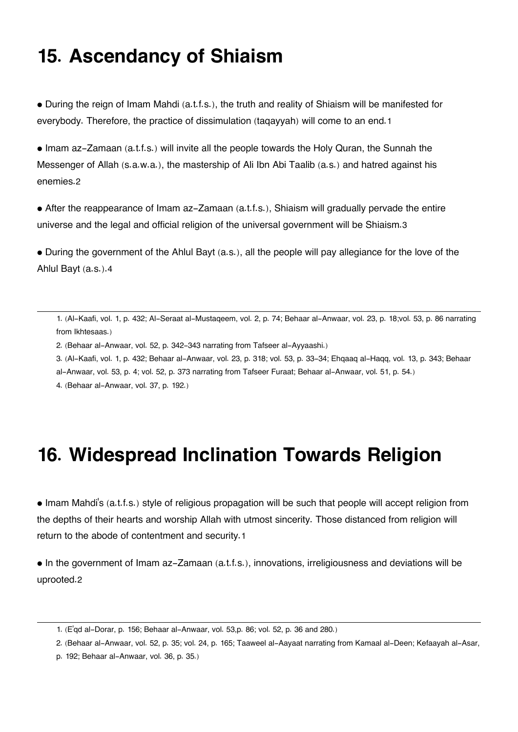## **15. Ascendancy of Shiaism**

• During the reign of Imam Mahdi (a.t.f.s.), the truth and reality of Shiaism will be manifested for everybody. Therefore, the practice of dissimulation (taqayyah) will come to an end.[1](#page--1-0)

• Imam az-Zamaan (a.t.f.s.) will invite all the people towards the Holy Quran, the Sunnah the Messenger of Allah (s.a.w.a.), the mastership of Ali Ibn Abi Taalib (a.s.) and hatred against his enemies.[2](#page--1-0)

• After the reappearance of Imam az-Zamaan (a.t.f.s.), Shiaism will gradually pervade the entire universe and the legal and official religion of the universal government will be Shiaism.[3](#page--1-0)

• During the government of the Ahlul Bayt (a.s.), all the people will pay allegiance for the love of the Ahlul Bayt (a.s.).[4](#page--1-0)

[1.](#page--1-0) (Al-Kaafi, vol. 1, p. 432; Al-Seraat al-Mustaqeem, vol. 2, p. 74; Behaar al-Anwaar, vol. 23, p. 18;vol. 53, p. 86 narrating from Ikhtesaas.)

[2.](#page--1-0) (Behaar al-Anwaar, vol. 52, p. 342-343 narrating from Tafseer al-Ayyaashi.)

- [3.](#page--1-0) (Al-Kaafi, vol. 1, p. 432; Behaar al-Anwaar, vol. 23, p. 318; vol. 53, p. 33-34; Ehqaaq al-Haqq, vol. 13, p. 343; Behaar
- al-Anwaar, vol. 53, p. 4; vol. 52, p. 373 narrating from Tafseer Furaat; Behaar al-Anwaar, vol. 51, p. 54.)

[4.](#page--1-0) (Behaar al-Anwaar, vol. 37, p. 192.)

## **16. Widespread Inclination Towards Religion**

• Imam Mahdi's (a.t.f.s.) style of religious propagation will be such that people will accept religion from the depths of their hearts and worship Allah with utmost sincerity. Those distanced from religion will return to the abode of contentment and security.[1](#page--1-0)

• In the government of Imam az-Zamaan (a.t.f.s.), innovations, irreligiousness and deviations will be uprooted.[2](#page--1-0)

[<sup>1.</sup>](#page--1-0) (E'qd al-Dorar, p. 156; Behaar al-Anwaar, vol. 53,p. 86; vol. 52, p. 36 and 280.)

[<sup>2.</sup>](#page--1-0) (Behaar al-Anwaar, vol. 52, p. 35; vol. 24, p. 165; Taaweel al-Aayaat narrating from Kamaal al-Deen; Kefaayah al-Asar,

p. 192; Behaar al-Anwaar, vol. 36, p. 35.)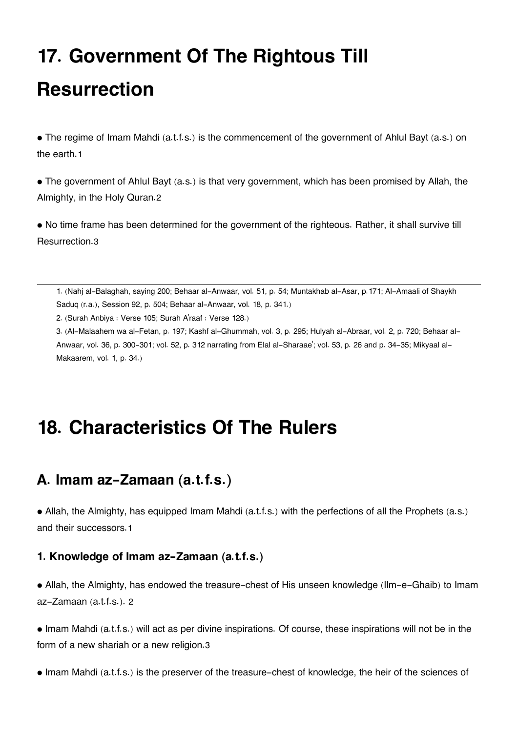# **17. Government Of The Rightous Till Resurrection**

• The regime of Imam Mahdi (a.t.f.s.) is the commencement of the government of Ahlul Bayt (a.s.) on the earth.[1](#page--1-0)

• The government of Ahlul Bayt (a.s.) is that very government, which has been promised by Allah, the Almighty, in the Holy Quran.[2](#page--1-0)

• No time frame has been determined for the government of the righteous. Rather, it shall survive till Resurrection.[3](#page--1-0)

[1.](#page--1-0) (Nahj al-Balaghah, saying 200; Behaar al-Anwaar, vol. 51, p. 54; Muntakhab al-Asar, p.171; Al-Amaali of Shaykh Saduq (r.a.), Session 92, p. 504; Behaar al-Anwaar, vol. 18, p. 341.)

[2.](#page--1-0) (Surah Anbiya : Verse 105; Surah A'raaf : Verse 128.)

[3.](#page--1-0) (Al-Malaahem wa al-Fetan, p. 197; Kashf al-Ghummah, vol. 3, p. 295; Hulyah al-Abraar, vol. 2, p. 720; Behaar al-Anwaar, vol. 36, p. 300-301; vol. 52, p. 312 narrating from Elal al-Sharaae'; vol. 53, p. 26 and p. 34-35; Mikyaal al-Makaarem, vol. 1, p. 34.)

## **18. Characteristics Of The Rulers**

### **[A. Imam az-Zamaan \(a.t.f.s.\)](#page--1-0)**

• Allah, the Almighty, has equipped Imam Mahdi (a.t.f.s.) with the perfections of all the Prophets (a.s.) and their successors.[1](#page--1-0)

### **[1. Knowledge of Imam az-Zamaan \(a.t.f.s.\)](#page--1-0)**

• Allah, the Almighty, has endowed the treasure-chest of His unseen knowledge (Ilm-e-Ghaib) to Imam az-Zamaan (a.t.f.s.). [2](#page--1-0)

• Imam Mahdi (a.t.f.s.) will act as per divine inspirations. Of course, these inspirations will not be in the form of a new shariah or a new religion.[3](#page--1-0)

• Imam Mahdi (a.t.f.s.) is the preserver of the treasure-chest of knowledge, the heir of the sciences of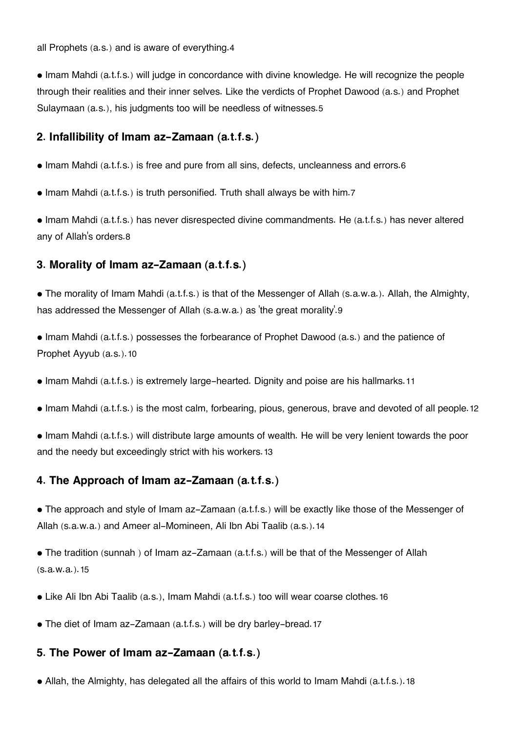all Prophets (a.s.) and is aware of everything.[4](#page--1-0)

• Imam Mahdi (a.t.f.s.) will judge in concordance with divine knowledge. He will recognize the people through their realities and their inner selves. Like the verdicts of Prophet Dawood (a.s.) and Prophet Sulaymaan (a.s.), his judgments too will be needless of witnesses.[5](#page--1-0)

### **[2. Infallibility of Imam az-Zamaan \(a.t.f.s.\)](#page--1-0)**

- Imam Mahdi (a.t.f.s.) is free and pure from all sins, defects, uncleanness and errors.[6](#page--1-0)
- Imam Mahdi (a.t.f.s.) is truth personified. Truth shall always be with him.[7](#page--1-0)

• Imam Mahdi (a.t.f.s.) has never disrespected divine commandments. He (a.t.f.s.) has never altered any of Allah's orders.[8](#page--1-0)

### **[3. Morality of Imam az-Zamaan \(a.t.f.s.\)](#page--1-0)**

• The morality of Imam Mahdi (a.t.f.s.) is that of the Messenger of Allah (s.a.w.a.). Allah, the Almighty, has addressed the Messenger of Allah (s.a.w.a.) as 'the great morality'.[9](#page--1-0)

• Imam Mahdi (a.t.f.s.) possesses the forbearance of Prophet Dawood (a.s.) and the patience of Prophet Ayyub (a.s.).[10](#page--1-0)

- Imam Mahdi (a.t.f.s.) is extremely large-hearted. Dignity and poise are his hallmarks.[11](#page--1-0)
- Imam Mahdi (a.t.f.s.) is the most calm, forbearing, pious, generous, brave and devoted of all people.[12](#page--1-0)
- Imam Mahdi (a.t.f.s.) will distribute large amounts of wealth. He will be very lenient towards the poor and the needy but exceedingly strict with his workers.[13](#page--1-0)

### **[4. The Approach of Imam az-Zamaan \(a.t.f.s.\)](#page--1-0)**

• The approach and style of Imam az-Zamaan (a.t.f.s.) will be exactly like those of the Messenger of Allah (s.a.w.a.) and Ameer al-Momineen, Ali Ibn Abi Taalib (a.s.).[14](#page--1-0)

• The tradition (sunnah ) of Imam az-Zamaan (a.t.f.s.) will be that of the Messenger of Allah (s.a.w.a.).[15](#page--1-0)

- Like Ali Ibn Abi Taalib (a.s.), Imam Mahdi (a.t.f.s.) too will wear coarse clothes.[16](#page--1-0)
- The diet of Imam az-Zamaan (a.t.f.s.) will be dry barley-bread.[17](#page--1-0)

### **[5. The Power of Imam az-Zamaan \(a.t.f.s.\)](#page--1-0)**

• Allah, the Almighty, has delegated all the affairs of this world to Imam Mahdi (a.t.f.s.).[18](#page--1-0)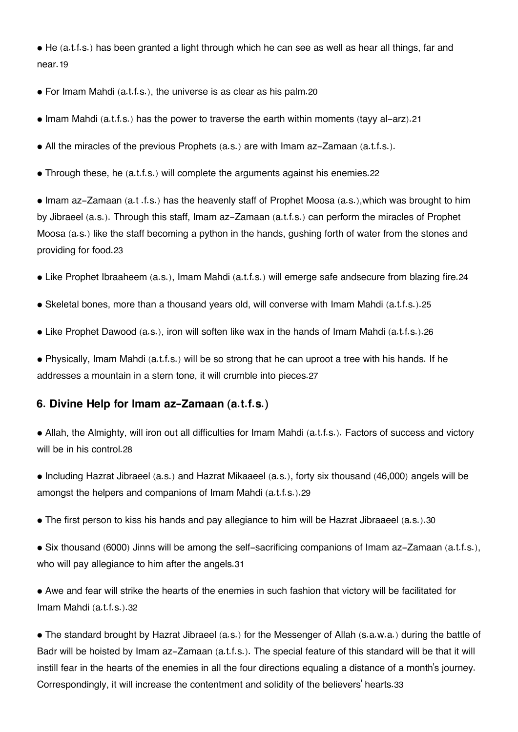• He (a.t.f.s.) has been granted a light through which he can see as well as hear all things, far and near.[19](#page--1-0)

- For Imam Mahdi (a.t.f.s.), the universe is as clear as his palm.[20](#page--1-0)
- Imam Mahdi (a.t.f.s.) has the power to traverse the earth within moments (tayy al-arz).[21](#page--1-0)
- All the miracles of the previous Prophets (a.s.) are with Imam az-Zamaan (a.t.f.s.).
- Through these, he (a.t.f.s.) will complete the arguments against his enemies.[22](#page--1-0)

• Imam az-Zamaan (a.t .f.s.) has the heavenly staff of Prophet Moosa (a.s.),which was brought to him by Jibraeel (a.s.). Through this staff, Imam az-Zamaan (a.t.f.s.) can perform the miracles of Prophet Moosa (a.s.) like the staff becoming a python in the hands, gushing forth of water from the stones and providing for food.[23](#page--1-0)

- Like Prophet Ibraaheem (a.s.), Imam Mahdi (a.t.f.s.) will emerge safe andsecure from blazing fire.[24](#page--1-0)
- Skeletal bones, more than a thousand years old, will converse with Imam Mahdi (a.t.f.s.).[25](#page--1-0)
- Like Prophet Dawood (a.s.), iron will soften like wax in the hands of Imam Mahdi (a.t.f.s.).[26](#page--1-0)

• Physically, Imam Mahdi (a.t.f.s.) will be so strong that he can uproot a tree with his hands. If he addresses a mountain in a stern tone, it will crumble into pieces.[27](#page--1-0)

### **[6. Divine Help for Imam az-Zamaan \(a.t.f.s.\)](#page--1-0)**

• Allah, the Almighty, will iron out all difficulties for Imam Mahdi (a.t.f.s.). Factors of success and victory will be in his control.[28](#page--1-0)

- Including Hazrat Jibraeel (a.s.) and Hazrat Mikaaeel (a.s.), forty six thousand (46,000) angels will be amongst the helpers and companions of Imam Mahdi (a.t.f.s.).[29](#page--1-0)
- The first person to kiss his hands and pay allegiance to him will be Hazrat Jibraaeel (a.s.).[30](#page--1-0)
- Six thousand (6000) Jinns will be among the self-sacrificing companions of Imam az-Zamaan (a.t.f.s.), who will pay allegiance to him after the angels.[31](#page--1-0)
- Awe and fear will strike the hearts of the enemies in such fashion that victory will be facilitated for Imam Mahdi (a.t.f.s.).[32](#page--1-0)

• The standard brought by Hazrat Jibraeel (a.s.) for the Messenger of Allah (s.a.w.a.) during the battle of Badr will be hoisted by Imam az-Zamaan (a.t.f.s.). The special feature of this standard will be that it will instill fear in the hearts of the enemies in all the four directions equaling a distance of a month's journey. Correspondingly, it will increase the contentment and solidity of the believers' hearts.[33](#page--1-0)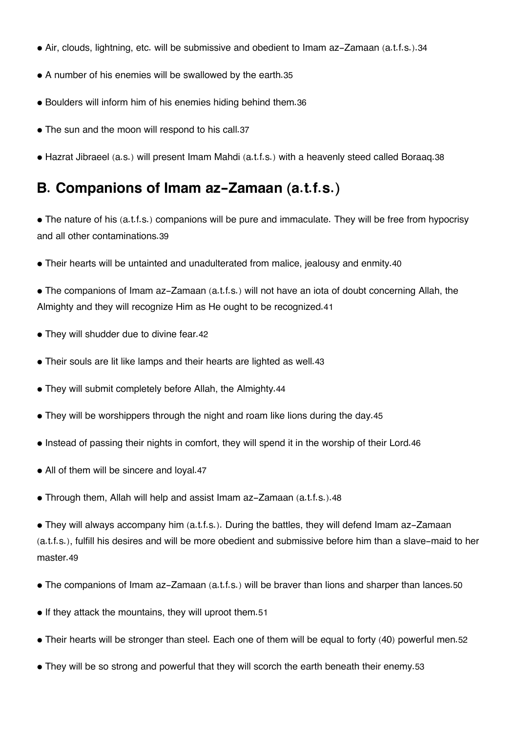- Air, clouds, lightning, etc. will be submissive and obedient to Imam az-Zamaan (a.t.f.s.).[34](#page--1-0)
- A number of his enemies will be swallowed by the earth.[35](#page--1-0)
- Boulders will inform him of his enemies hiding behind them.[36](#page--1-0)
- The sun and the moon will respond to his call.[37](#page--1-0)
- Hazrat Jibraeel (a.s.) will present Imam Mahdi (a.t.f.s.) with a heavenly steed called Boraaq.[38](#page--1-0)

### **[B. Companions of Imam az-Zamaan \(a.t.f.s.\)](#page--1-0)**

- The nature of his (a.t.f.s.) companions will be pure and immaculate. They will be free from hypocrisy and all other contaminations.[39](#page--1-0)
- Their hearts will be untainted and unadulterated from malice, jealousy and enmity.[40](#page--1-0)

• The companions of Imam az-Zamaan (a.t.f.s.) will not have an iota of doubt concerning Allah, the Almighty and they will recognize Him as He ought to be recognized.[41](#page--1-0)

- They will shudder due to divine fear. [42](#page--1-0)
- Their souls are lit like lamps and their hearts are lighted as well.[43](#page--1-0)
- They will submit completely before Allah, the Almighty.[44](#page--1-0)
- They will be worshippers through the night and roam like lions during the day.[45](#page--1-0)
- Instead of passing their nights in comfort, they will spend it in the worship of their Lord.[46](#page--1-0)
- All of them will be sincere and loyal.[47](#page--1-0)
- Through them, Allah will help and assist Imam az-Zamaan (a.t.f.s.).[48](#page--1-0)

• They will always accompany him (a.t.f.s.). During the battles, they will defend Imam az-Zamaan (a.t.f.s.), fulfill his desires and will be more obedient and submissive before him than a slave-maid to her master.[49](#page--1-0)

- The companions of Imam az-Zamaan (a.t.f.s.) will be braver than lions and sharper than lances.[50](#page--1-0)
- If they attack the mountains, they will uproot them.[51](#page--1-0)
- Their hearts will be stronger than steel. Each one of them will be equal to forty (40) powerful men.[52](#page--1-0)
- They will be so strong and powerful that they will scorch the earth beneath their enemy.[53](#page--1-0)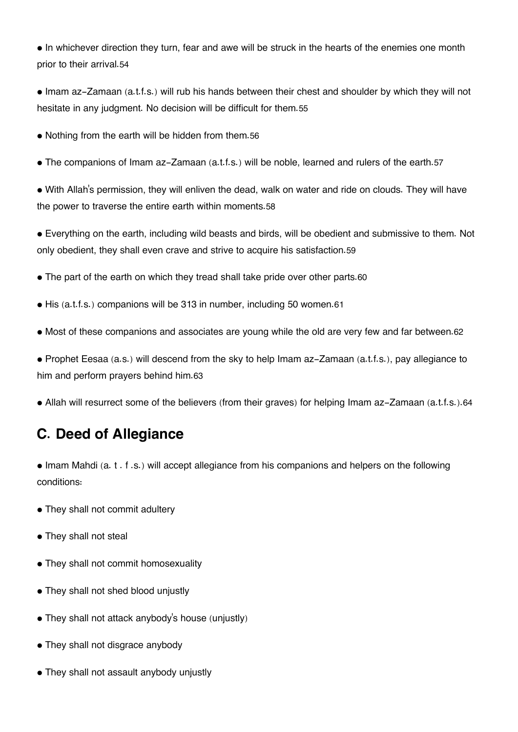• In whichever direction they turn, fear and awe will be struck in the hearts of the enemies one month prior to their arrival.[54](#page--1-0)

• Imam az-Zamaan (a.t.f.s.) will rub his hands between their chest and shoulder by which they will not hesitate in any judgment. No decision will be difficult for them.[55](#page--1-0)

- Nothing from the earth will be hidden from them.[56](#page--1-0)
- The companions of Imam az-Zamaan (a.t.f.s.) will be noble, learned and rulers of the earth.[57](#page--1-0)

• With Allah's permission, they will enliven the dead, walk on water and ride on clouds. They will have the power to traverse the entire earth within moments.[58](#page--1-0)

• Everything on the earth, including wild beasts and birds, will be obedient and submissive to them. Not only obedient, they shall even crave and strive to acquire his satisfaction.[59](#page--1-0)

- The part of the earth on which they tread shall take pride over other parts.[60](#page--1-0)
- His (a.t.f.s.) companions will be 313 in number, including 50 women.[61](#page--1-0)
- Most of these companions and associates are young while the old are very few and far between.[62](#page--1-0)

• Prophet Eesaa (a.s.) will descend from the sky to help Imam az-Zamaan (a.t.f.s.), pay allegiance to him and perform prayers behind him.[63](#page--1-0)

• Allah will resurrect some of the believers (from their graves) for helping Imam az-Zamaan (a.t.f.s.).[64](#page--1-0)

### **[C. Deed of Allegiance](#page--1-0)**

• Imam Mahdi (a. t . f .s.) will accept allegiance from his companions and helpers on the following conditions:

- They shall not commit adultery
- They shall not steal
- They shall not commit homosexuality
- They shall not shed blood unjustly
- They shall not attack anybody's house (unjustly)
- They shall not disgrace anybody
- They shall not assault anybody unjustly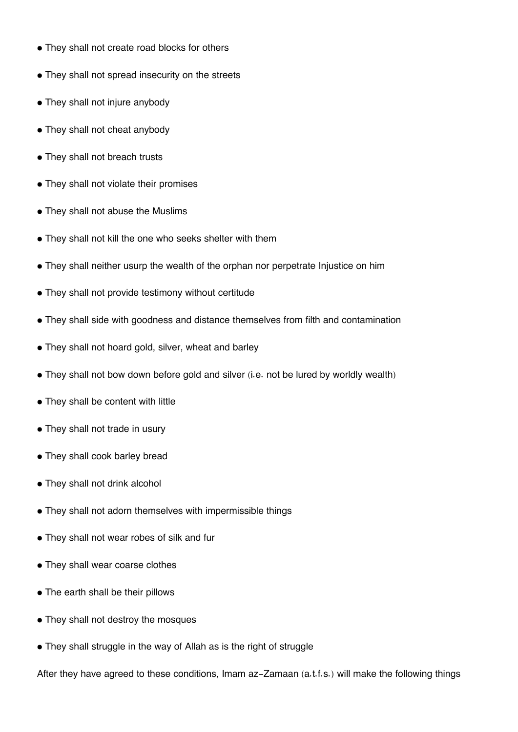- They shall not create road blocks for others
- They shall not spread insecurity on the streets
- They shall not injure anybody
- They shall not cheat anybody
- They shall not breach trusts
- They shall not violate their promises
- They shall not abuse the Muslims
- They shall not kill the one who seeks shelter with them
- They shall neither usurp the wealth of the orphan nor perpetrate Injustice on him
- They shall not provide testimony without certitude
- They shall side with goodness and distance themselves from filth and contamination
- They shall not hoard gold, silver, wheat and barley
- They shall not bow down before gold and silver (i.e. not be lured by worldly wealth)
- They shall be content with little
- They shall not trade in usury
- They shall cook barley bread
- They shall not drink alcohol
- They shall not adorn themselves with impermissible things
- They shall not wear robes of silk and fur
- They shall wear coarse clothes
- The earth shall be their pillows
- They shall not destroy the mosques
- They shall struggle in the way of Allah as is the right of struggle

After they have agreed to these conditions, Imam az-Zamaan (a.t.f.s.) will make the following things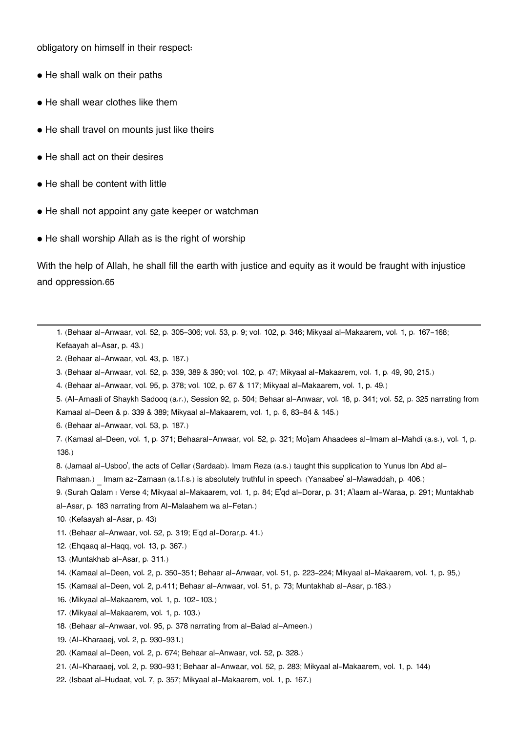obligatory on himself in their respect:

- He shall walk on their paths
- He shall wear clothes like them
- He shall travel on mounts just like theirs
- He shall act on their desires
- He shall be content with little
- He shall not appoint any gate keeper or watchman
- He shall worship Allah as is the right of worship

With the help of Allah, he shall fill the earth with justice and equity as it would be fraught with injustice and oppression.[65](#page--1-0)

[1.](#page--1-0) (Behaar al-Anwaar, vol. 52, p. 305-306; vol. 53, p. 9; vol. 102, p. 346; Mikyaal al-Makaarem, vol. 1, p. 167-168; Kefaayah al-Asar, p. 43.)

- [2.](#page--1-0) (Behaar al-Anwaar, vol. 43, p. 187.)
- [3.](#page--1-0) (Behaar al-Anwaar, vol. 52, p. 339, 389 & 390; vol. 102, p. 47; Mikyaal al-Makaarem, vol. 1, p. 49, 90, 215.)
- [4.](#page--1-0) (Behaar al-Anwaar, vol. 95, p. 378; vol. 102, p. 67 & 117; Mikyaal al-Makaarem, vol. 1, p. 49.)
- [5.](#page--1-0) (Al-Amaali of Shaykh Sadooq (a.r.), Session 92, p. 504; Behaar al-Anwaar, vol. 18, p. 341; vol. 52, p. 325 narrating from Kamaal al-Deen & p. 339 & 389; Mikyaal al-Makaarem, vol. 1, p. 6, 83-84 & 145.)
- [6.](#page--1-0) (Behaar al-Anwaar, vol. 53, p. 187.)

[7.](#page--1-0) (Kamaal al-Deen, vol. 1, p. 371; Behaaral-Anwaar, vol. 52, p. 321; Mo'jam Ahaadees al-Imam al-Mahdi (a.s.), vol. 1, p. 136.)

[8.](#page--1-0) (Jamaal al-Usboo', the acts of Cellar (Sardaab). Imam Reza (a.s.) taught this supplication to Yunus Ibn Abd al-

Rahmaan.) Imam az-Zamaan (a.t.f.s.) is absolutely truthful in speech. (Yanaabee' al-Mawaddah, p. 406.)

[9.](#page--1-0) (Surah Qalam : Verse 4; Mikyaal al-Makaarem, vol. 1, p. 84; E'qd al-Dorar, p. 31; A'laam al-Waraa, p. 291; Muntakhab al-Asar, p. 183 narrating from Al-Malaahem wa al-Fetan.)

- [10.](#page--1-0) (Kefaayah al-Asar, p. 43)
- [11.](#page--1-0) (Behaar al-Anwaar, vol. 52, p. 319; E'qd al-Dorar,p. 41.)
- [12.](#page--1-0) (Ehqaaq al-Haqq, vol. 13, p. 367.)
- [13.](#page--1-0) (Muntakhab al-Asar, p. 311.)
- [14.](#page--1-0) (Kamaal al-Deen, vol. 2, p. 350-351; Behaar al-Anwaar, vol. 51, p. 223-224; Mikyaal al-Makaarem, vol. 1, p. 95,)
- [15.](#page--1-0) (Kamaal al-Deen, vol. 2, p.411; Behaar al-Anwaar, vol. 51, p. 73; Muntakhab al-Asar, p.183.)
- [16.](#page--1-0) (Mikyaal al-Makaarem, vol. 1, p. 102-103.)
- [17.](#page--1-0) (Mikyaal al-Makaarem, vol. 1, p. 103.)
- [18.](#page--1-0) (Behaar al-Anwaar, vol. 95, p. 378 narrating from al-Balad al-Ameen.)
- [19.](#page--1-0) (Al-Kharaaej, vol. 2, p. 930-931.)
- [20.](#page--1-0) (Kamaal al-Deen, vol. 2, p. 674; Behaar al-Anwaar, vol. 52, p. 328.)
- [21.](#page--1-0) (Al-Kharaaej, vol. 2, p. 930-931; Behaar al-Anwaar, vol. 52, p. 283; Mikyaal al-Makaarem, vol. 1, p. 144)
- [22.](#page--1-0) (Isbaat al-Hudaat, vol. 7, p. 357; Mikyaal al-Makaarem, vol. 1, p. 167.)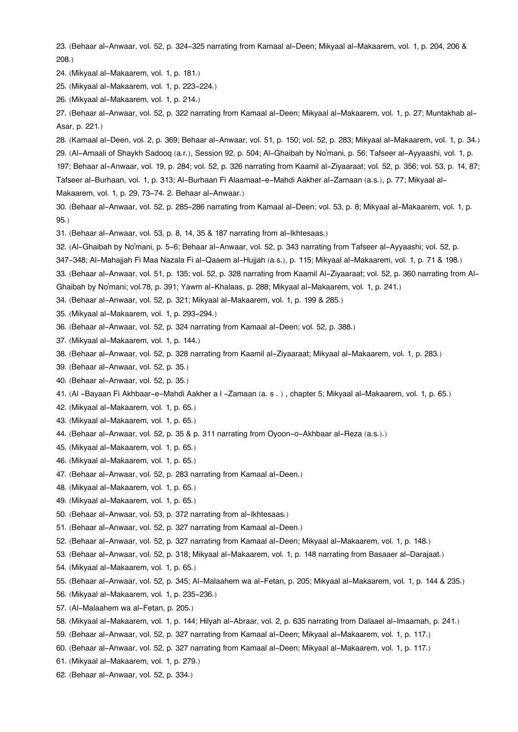[23.](#page--1-0) (Behaar al-Anwaar, vol. 52, p. 324-325 narrating from Kamaal al-Deen; Mikyaal al-Makaarem, vol. 1, p. 204, 206 & 208.)

[24.](#page--1-0) (Mikyaal al-Makaarem, vol. 1, p. 181.)

[25.](#page--1-0) (Mikyaal al-Makaarem, vol. 1, p. 223-224.)

[26.](#page--1-0) (Mikyaal al-Makaarem, vol. 1, p. 214.)

[27.](#page--1-0) (Behaar al-Anwaar, vol. 52, p. 322 narrating from Kamaal al-Deen; Mikyaal al-Makaarem, vol. 1, p. 27; Muntakhab al-Asar, p. 221.)

[28.](#page--1-0) (Kamaal al-Deen, vol. 2, p. 369; Behaar al-Anwaar, vol. 51, p. 150; vol. 52, p. 283; Mikyaal al-Makaarem, vol. 1, p. 34.) [29.](#page--1-0) (Al-Amaali of Shaykh Sadooq (a.r.), Session 92, p. 504; Al-Ghaibah by No'mani, p. 56; Tafseer al-Ayyaashi, vol. 1, p.

197; Behaar al-Anwaar, vol. 19, p. 284; vol. 52, p. 326 narrating from Kaamil al-Ziyaaraat; vol. 52, p. 356; vol. 53, p. 14, 87; Tafseer al-Burhaan, vol. 1, p. 313; Al-Burhaan Fi Alaamaat-e-Mahdi Aakher al-Zamaan (a.s.), p. 77; Mikyaal al-

Makaarem, vol. 1, p. 29, 73-74. 2. Behaar al-Anwaar.)

[30.](#page--1-0) (Behaar al-Anwaar, vol. 52, p. 285-286 narrating from Kamaal al-Deen; vol. 53, p. 8; Mikyaal al-Makaarem, vol. 1, p. 95.)

[31.](#page--1-0) (Behaar al-Anwaar, vol. 53, p. 8, 14, 35 & 187 narrating from al-Ikhtesaas.)

[32.](#page--1-0) (Al-Ghaibah by No'mani, p. 5-6; Behaar al-Anwaar, vol. 52, p. 343 narrating from Tafseer al-Ayyaashi; vol. 52, p.

347-348; Al-Mahajjah Fi Maa Nazala Fi al-Qaaem al-Hujjah (a.s.), p. 115; Mikyaal al-Makaarem, vol. 1, p. 71 & 198.)

[33.](#page--1-0) (Behaar al-Anwaar, vol. 51, p. 135; vol. 52, p. 328 narrating from Kaamil Al-Ziyaaraat; vol. 52, p. 360 narrating from Al-

Ghaibah by No'mani; vol.78, p. 391; Yawm al-Khalaas, p. 288; Mikyaal al-Makaarem, vol. 1, p. 241.)

[34.](#page--1-0) (Behaar al-Anwaar, vol. 52, p. 321; Mikyaal al-Makaarem, vol. 1, p. 199 & 285.)

- [35.](#page--1-0) (Mikyaal al-Makaarem, vol. 1, p. 293-294.)
- [36.](#page--1-0) (Behaar al-Anwaar, vol. 52, p. 324 narrating from Kamaal al-Deen; vol. 52, p. 388.)
- [37.](#page--1-0) (Mikyaal al-Makaarem, vol. 1, p. 144.)
- [38.](#page--1-0) (Behaar al-Anwaar, vol. 52, p. 328 narrating from Kaamil al-Ziyaaraat; Mikyaal al-Makaarem, vol. 1, p. 283.)

[39.](#page--1-0) (Behaar al-Anwaar, vol. 52, p. 35.)

- [40.](#page--1-0) (Behaar al-Anwaar, vol. 52, p. 35.)
- [41.](#page--1-0) (Al -Bayaan Fi Akhbaar-e-Mahdi Aakher a l -Zamaan (a. s . ) , chapter 5; Mikyaal al-Makaarem, vol. 1, p. 65.)
- [42.](#page--1-0) (Mikyaal al-Makaarem, vol. 1, p. 65.)
- [43.](#page--1-0) (Mikyaal al-Makaarem, vol. 1, p. 65.)
- [44.](#page--1-0) (Behaar al-Anwaar, vol. 52, p. 35 & p. 311 narrating from Oyoon-o-Akhbaar al-Reza (a.s.).)
- [45.](#page--1-0) (Mikyaal al-Makaarem, vol. 1, p. 65.)
- [46.](#page--1-0) (Mikyaal al-Makaarem, vol. 1, p. 65.)
- [47.](#page--1-0) (Behaar al-Anwaar, vol. 52, p. 283 narrating from Kamaal al-Deen.)
- [48.](#page--1-0) (Mikyaal al-Makaarem, vol. 1, p. 65.)
- [49.](#page--1-0) (Mikyaal al-Makaarem, vol. 1, p. 65.)
- [50.](#page--1-0) (Behaar al-Anwaar, vol. 53, p. 372 narrating from al-Ikhtesaas.)
- [51.](#page--1-0) (Behaar al-Anwaar, vol. 52, p. 327 narrating from Kamaal al-Deen.)
- [52.](#page--1-0) (Behaar al-Anwaar, vol. 52, p. 327 narrating from Kamaal al-Deen; Mikyaal al-Makaarem, vol. 1, p. 148.)
- [53.](#page--1-0) (Behaar al-Anwaar, vol. 52, p. 318; Mikyaal al-Makaarem, vol. 1, p. 148 narrating from Basaaer al-Darajaat.)
- [54.](#page--1-0) (Mikyaal al-Makaarem, vol. 1, p. 65.)
- [55.](#page--1-0) (Behaar al-Anwaar, vol. 52, p. 345; Al-Malaahem wa al-Fetan, p. 205; Mikyaal al-Makaarem, vol. 1, p. 144 & 235.)
- [56.](#page--1-0) (Mikyaal al-Makaarem, vol. 1, p. 235-236.)
- [57.](#page--1-0) (Al-Malaahem wa al-Fetan, p. 205.)
- [58.](#page--1-0) (Mikyaal al-Makaarem, vol. 1, p. 144; Hilyah al-Abraar, vol. 2, p. 635 narrating from Dalaael al-Imaamah, p. 241.)
- [59.](#page--1-0) (Behaar al-Anwaar, vol. 52, p. 327 narrating from Kamaal al-Deen; Mikyaal al-Makaarem, vol. 1, p. 117.)
- [60.](#page--1-0) (Behaar al-Anwaar, vol. 52, p. 327 narrating from Kamaal al-Deen; Mikyaal al-Makaarem, vol. 1, p. 117.)
- [61.](#page--1-0) (Mikyaal al-Makaarem, vol. 1, p. 279.)
- [62.](#page--1-0) (Behaar al-Anwaar, vol. 52, p. 334.)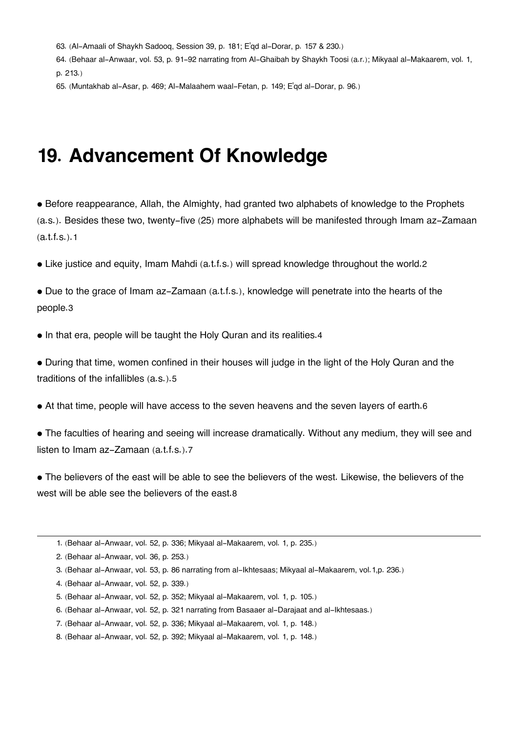[63.](#page--1-0) (Al-Amaali of Shaykh Sadooq, Session 39, p. 181; E'qd al-Dorar, p. 157 & 230.)

[64.](#page--1-0) (Behaar al-Anwaar, vol. 53, p. 91-92 narrating from Al-Ghaibah by Shaykh Toosi (a.r.); Mikyaal al-Makaarem, vol. 1, p. 213.)

[65.](#page--1-0) (Muntakhab al-Asar, p. 469; Al-Malaahem waal-Fetan, p. 149; E'qd al-Dorar, p. 96.)

### **19. Advancement Of Knowledge**

• Before reappearance, Allah, the Almighty, had granted two alphabets of knowledge to the Prophets (a.s.). Besides these two, twenty-five (25) more alphabets will be manifested through Imam az-Zamaan  $(a.t.f.s.).1$  $(a.t.f.s.).1$ 

• Like justice and equity, Imam Mahdi (a.t.f.s.) will spread knowledge throughout the world.[2](#page--1-0)

• Due to the grace of Imam az-Zamaan (a.t.f.s.), knowledge will penetrate into the hearts of the people.[3](#page--1-0)

• In that era, people will be taught the Holy Quran and its realities.[4](#page--1-0)

• During that time, women confined in their houses will judge in the light of the Holy Quran and the traditions of the infallibles (a.s.).[5](#page--1-0)

• At that time, people will have access to the seven heavens and the seven layers of earth.[6](#page--1-0)

• The faculties of hearing and seeing will increase dramatically. Without any medium, they will see and listen to Imam az-Zamaan (a.t.f.s.).[7](#page--1-0)

• The believers of the east will be able to see the believers of the west. Likewise, the believers of the west will be able see the believers of the east.[8](#page--1-0)

[4.](#page--1-0) (Behaar al-Anwaar, vol. 52, p. 339.)

[6.](#page--1-0) (Behaar al-Anwaar, vol. 52, p. 321 narrating from Basaaer al-Darajaat and al-Ikhtesaas.)

[<sup>1.</sup>](#page--1-0) (Behaar al-Anwaar, vol. 52, p. 336; Mikyaal al-Makaarem, vol. 1, p. 235.)

[<sup>2.</sup>](#page--1-0) (Behaar al-Anwaar, vol. 36, p. 253.)

[<sup>3.</sup>](#page--1-0) (Behaar al-Anwaar, vol. 53, p. 86 narrating from al-Ikhtesaas; Mikyaal al-Makaarem, vol.1,p. 236.)

[<sup>5.</sup>](#page--1-0) (Behaar al-Anwaar, vol. 52, p. 352; Mikyaal al-Makaarem, vol. 1, p. 105.)

[<sup>7.</sup>](#page--1-0) (Behaar al-Anwaar, vol. 52, p. 336; Mikyaal al-Makaarem, vol. 1, p. 148.)

[<sup>8.</sup>](#page--1-0) (Behaar al-Anwaar, vol. 52, p. 392; Mikyaal al-Makaarem, vol. 1, p. 148.)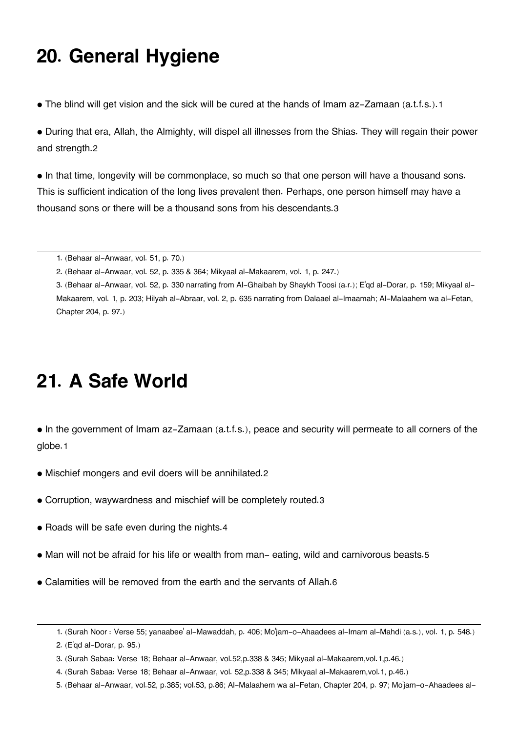## **20. General Hygiene**

• The blind will get vision and the sick will be cured at the hands of Imam az-Zamaan (a.t.f.s.).[1](#page--1-0)

• During that era, Allah, the Almighty, will dispel all illnesses from the Shias. They will regain their power and strength.[2](#page--1-0)

• In that time, longevity will be commonplace, so much so that one person will have a thousand sons. This is sufficient indication of the long lives prevalent then. Perhaps, one person himself may have a thousand sons or there will be a thousand sons from his descendants.[3](#page--1-0)

## **21. A Safe World**

- In the government of Imam az-Zamaan (a.t.f.s.), peace and security will permeate to all corners of the globe.[1](#page--1-0)
- Mischief mongers and evil doers will be annihilated.[2](#page--1-0)
- Corruption, waywardness and mischief will be completely routed.[3](#page--1-0)
- Roads will be safe even during the nights.[4](#page--1-0)
- Man will not be afraid for his life or wealth from man- eating, wild and carnivorous beasts.[5](#page--1-0)
- Calamities will be removed from the earth and the servants of Allah.[6](#page--1-0)

[<sup>1.</sup>](#page--1-0) (Behaar al-Anwaar, vol. 51, p. 70.)

[<sup>2.</sup>](#page--1-0) (Behaar al-Anwaar, vol. 52, p. 335 & 364; Mikyaal al-Makaarem, vol. 1, p. 247.)

[<sup>3.</sup>](#page--1-0) (Behaar al-Anwaar, vol. 52, p. 330 narrating from Al-Ghaibah by Shaykh Toosi (a.r.); E'qd al-Dorar, p. 159; Mikyaal al-Makaarem, vol. 1, p. 203; Hilyah al-Abraar, vol. 2, p. 635 narrating from Dalaael al-Imaamah; Al-Malaahem wa al-Fetan, Chapter 204, p. 97.)

[<sup>1.</sup>](#page--1-0) (Surah Noor : Verse 55; yanaabee' al-Mawaddah, p. 406; Mo'jam-o-Ahaadees al-Imam al-Mahdi (a.s.), vol. 1, p. 548.)

[<sup>2.</sup>](#page--1-0) (E'qd al-Dorar, p. 95.)

[<sup>3.</sup>](#page--1-0) (Surah Sabaa: Verse 18; Behaar al-Anwaar, vol.52,p.338 & 345; Mikyaal al-Makaarem,vol.1,p.46.)

[<sup>4.</sup>](#page--1-0) (Surah Sabaa: Verse 18; Behaar al-Anwaar, vol. 52,p.338 & 345; Mikyaal al-Makaarem,vol.1, p.46.)

[<sup>5.</sup>](#page--1-0) (Behaar al-Anwaar, vol.52, p.385; vol.53, p.86; Al-Malaahem wa al-Fetan, Chapter 204, p. 97; Mo'jam-o-Ahaadees al-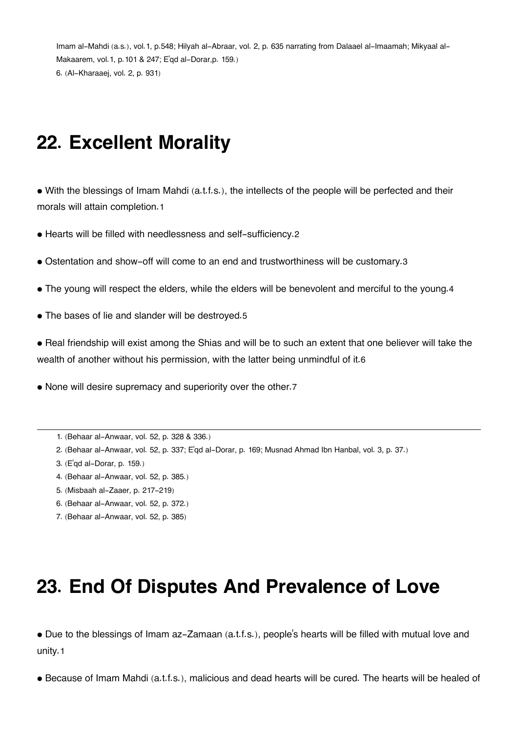Imam al-Mahdi (a.s.), vol.1, p.548; Hilyah al-Abraar, vol. 2, p. 635 narrating from Dalaael al-Imaamah; Mikyaal al-Makaarem, vol.1, p.101 & 247; E'qd al-Dorar,p. 159.) [6.](#page--1-0) (Al-Kharaaej, vol. 2, p. 931)

## **22. Excellent Morality**

• With the blessings of Imam Mahdi (a.t.f.s.), the intellects of the people will be perfected and their morals will attain completion.[1](#page--1-0)

• Hearts will be filled with needlessness and self-sufficiency.[2](#page--1-0)

- Ostentation and show-off will come to an end and trustworthiness will be customary.[3](#page--1-0)
- The young will respect the elders, while the elders will be benevolent and merciful to the young.[4](#page--1-0)
- The bases of lie and slander will be destroyed.[5](#page--1-0)

• Real friendship will exist among the Shias and will be to such an extent that one believer will take the wealth of another without his permission, with the latter being unmindful of it.[6](#page--1-0)

• None will desire supremacy and superiority over the other.[7](#page--1-0)

[1.](#page--1-0) (Behaar al-Anwaar, vol. 52, p. 328 & 336.)

- [2.](#page--1-0) (Behaar al-Anwaar, vol. 52, p. 337; E'qd al-Dorar, p. 169; Musnad Ahmad Ibn Hanbal, vol. 3, p. 37.)
- [3.](#page--1-0) (E'qd al-Dorar, p. 159.)
- [4.](#page--1-0) (Behaar al-Anwaar, vol. 52, p. 385.)
- [5.](#page--1-0) (Misbaah al-Zaaer, p. 217-219)
- [6.](#page--1-0) (Behaar al-Anwaar, vol. 52, p. 372.)
- [7.](#page--1-0) (Behaar al-Anwaar, vol. 52, p. 385)

### **23. End Of Disputes And Prevalence of Love**

• Due to the blessings of Imam az-Zamaan (a.t.f.s.), people's hearts will be filled with mutual love and unity.[1](#page--1-0)

• Because of Imam Mahdi (a.t.f.s.), malicious and dead hearts will be cured. The hearts will be healed of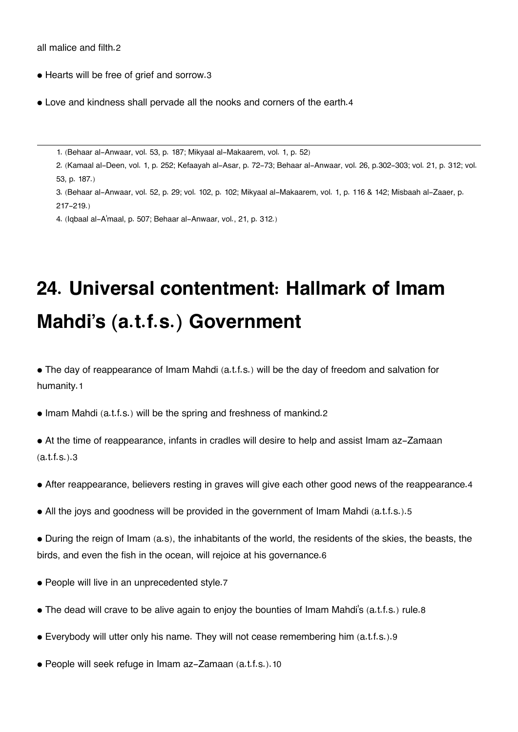all malice and filth.[2](#page--1-0)

- Hearts will be free of grief and sorrow.[3](#page--1-0)
- Love and kindness shall pervade all the nooks and corners of the earth.[4](#page--1-0)

[1.](#page--1-0) (Behaar al-Anwaar, vol. 53, p. 187; Mikyaal al-Makaarem, vol. 1, p. 52)

[2.](#page--1-0) (Kamaal al-Deen, vol. 1, p. 252; Kefaayah al-Asar, p. 72-73; Behaar al-Anwaar, vol. 26, p.302-303; vol. 21, p. 312; vol. 53, p. 187.)

[3.](#page--1-0) (Behaar al-Anwaar, vol. 52, p. 29; vol. 102, p. 102; Mikyaal al-Makaarem, vol. 1, p. 116 & 142; Misbaah al-Zaaer, p. 217-219.)

[4.](#page--1-0) (Iqbaal al-A'maal, p. 507; Behaar al-Anwaar, vol., 21, p. 312.)

# **24. Universal contentment: Hallmark of Imam Mahdi's (a.t.f.s.) Government**

• The day of reappearance of Imam Mahdi (a.t.f.s.) will be the day of freedom and salvation for humanity.[1](#page--1-0)

• Imam Mahdi (a.t.f.s.) will be the spring and freshness of mankind.[2](#page--1-0)

• At the time of reappearance, infants in cradles will desire to help and assist Imam az-Zamaan (a.t.f.s.).[3](#page--1-0)

- After reappearance, believers resting in graves will give each other good news of the reappearance.[4](#page--1-0)
- All the joys and goodness will be provided in the government of Imam Mahdi (a.t.f.s.).[5](#page--1-0)

• During the reign of Imam (a.s), the inhabitants of the world, the residents of the skies, the beasts, the birds, and even the fish in the ocean, will rejoice at his governance.[6](#page--1-0)

- People will live in an unprecedented style.[7](#page--1-0)
- The dead will crave to be alive again to enjoy the bounties of Imam Mahdi's (a.t.f.s.) rule.[8](#page--1-0)
- Everybody will utter only his name. They will not cease remembering him (a.t.f.s.).[9](#page--1-0)
- People will seek refuge in Imam az-Zamaan (a.t.f.s.).[10](#page--1-0)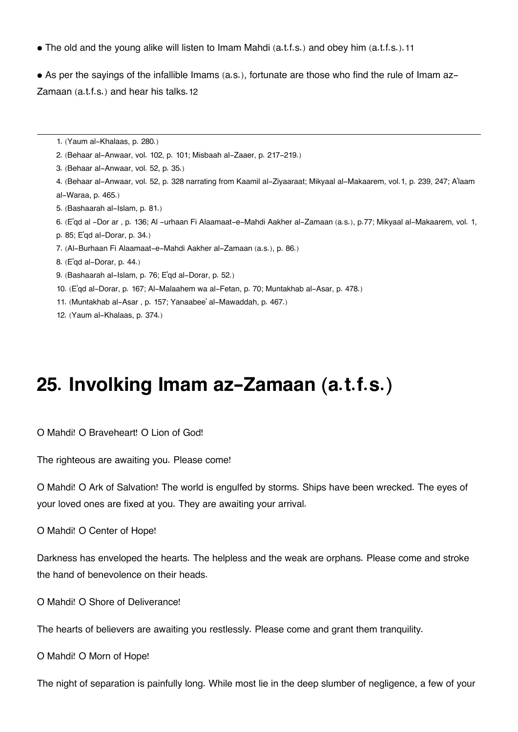• The old and the young alike will listen to Imam Mahdi (a.t.f.s.) and obey him (a.t.f.s.).[11](#page--1-0)

• As per the sayings of the infallible Imams (a.s.), fortunate are those who find the rule of Imam az-Zamaan (a.t.f.s.) and hear his talks.[12](#page--1-0)

- [1.](#page--1-0) (Yaum al-Khalaas, p. 280.)
- [2.](#page--1-0) (Behaar al-Anwaar, vol. 102, p. 101; Misbaah al-Zaaer, p. 217-219.)
- [3.](#page--1-0) (Behaar al-Anwaar, vol. 52, p. 35.)
- [4.](#page--1-0) (Behaar al-Anwaar, vol. 52, p. 328 narrating from Kaamil al-Ziyaaraat; Mikyaal al-Makaarem, vol.1, p. 239, 247; A'laam al-Waraa, p. 465.)
- [5.](#page--1-0) (Bashaarah al-Islam, p. 81.)
- [6.](#page--1-0) (E'qd al -Dor ar , p. 136; Al -urhaan Fi Alaamaat-e-Mahdi Aakher al-Zamaan (a.s.), p.77; Mikyaal al-Makaarem, vol. 1,
- p. 85; E'qd al-Dorar, p. 34.)
- [7.](#page--1-0) (Al-Burhaan Fi Alaamaat-e-Mahdi Aakher al-Zamaan (a.s.), p. 86.)
- [8.](#page--1-0) (E'qd al-Dorar, p. 44.)
- [9.](#page--1-0) (Bashaarah al-Islam, p. 76; E'qd al-Dorar, p. 52.)
- [10.](#page--1-0) (E'qd al-Dorar, p. 167; Al-Malaahem wa al-Fetan, p. 70; Muntakhab al-Asar, p. 478.)
- [11.](#page--1-0) (Muntakhab al-Asar , p. 157; Yanaabee' al-Mawaddah, p. 467.)
- [12.](#page--1-0) (Yaum al-Khalaas, p. 374.)

### **25. Involking Imam az-Zamaan (a.t.f.s.)**

O Mahdi! O Braveheart! O Lion of God!

The righteous are awaiting you. Please come!

O Mahdi! O Ark of Salvation! The world is engulfed by storms. Ships have been wrecked. The eyes of your loved ones are fixed at you. They are awaiting your arrival.

O Mahdi! O Center of Hope!

Darkness has enveloped the hearts. The helpless and the weak are orphans. Please come and stroke the hand of benevolence on their heads.

O Mahdi! O Shore of Deliverance!

The hearts of believers are awaiting you restlessly. Please come and grant them tranquility.

O Mahdi! O Morn of Hope!

The night of separation is painfully long. While most lie in the deep slumber of negligence, a few of your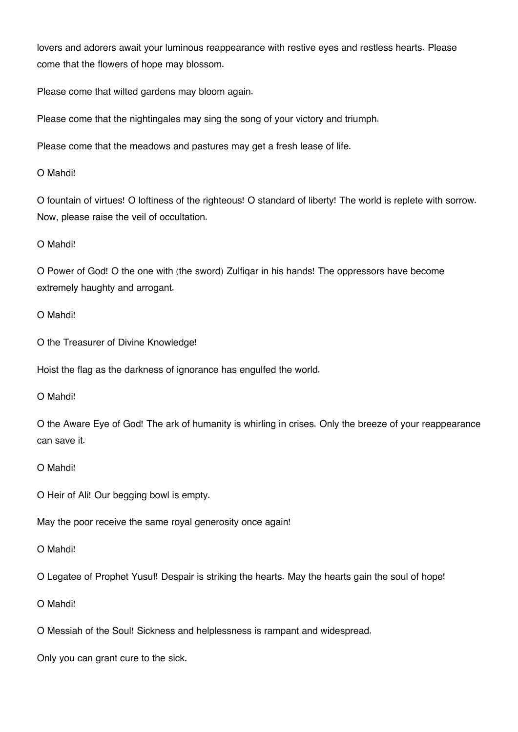lovers and adorers await your luminous reappearance with restive eyes and restless hearts. Please come that the flowers of hope may blossom.

Please come that wilted gardens may bloom again.

Please come that the nightingales may sing the song of your victory and triumph.

Please come that the meadows and pastures may get a fresh lease of life.

O Mahdi!

O fountain of virtues! O loftiness of the righteous! O standard of liberty! The world is replete with sorrow. Now, please raise the veil of occultation.

### O Mahdi!

O Power of God! O the one with (the sword) Zulfiqar in his hands! The oppressors have become extremely haughty and arrogant.

### O Mahdi!

O the Treasurer of Divine Knowledge!

Hoist the flag as the darkness of ignorance has engulfed the world.

O Mahdi!

O the Aware Eye of God! The ark of humanity is whirling in crises. Only the breeze of your reappearance can save it.

#### O Mahdi!

O Heir of Ali! Our begging bowl is empty.

May the poor receive the same royal generosity once again!

#### O Mahdi!

O Legatee of Prophet Yusuf! Despair is striking the hearts. May the hearts gain the soul of hope!

O Mahdi!

O Messiah of the Soul! Sickness and helplessness is rampant and widespread.

Only you can grant cure to the sick.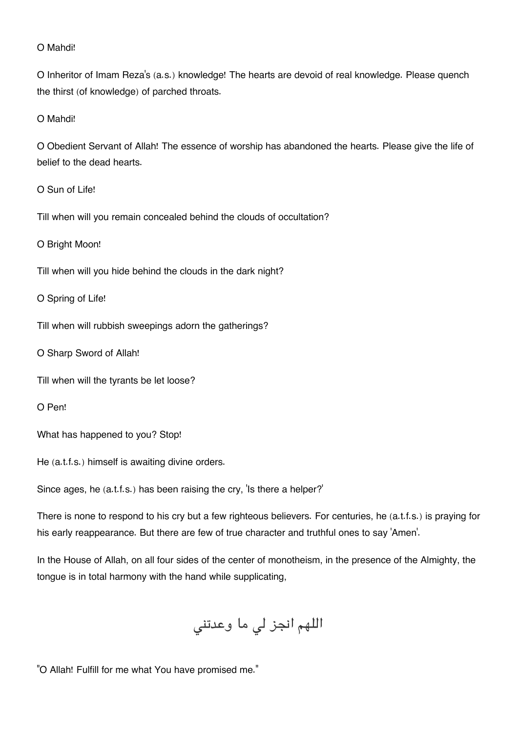#### O Mahdi!

O Inheritor of Imam Reza's (a.s.) knowledge! The hearts are devoid of real knowledge. Please quench the thirst (of knowledge) of parched throats.

O Mahdi!

O Obedient Servant of Allah! The essence of worship has abandoned the hearts. Please give the life of belief to the dead hearts.

O Sun of Life!

Till when will you remain concealed behind the clouds of occultation?

O Bright Moon!

Till when will you hide behind the clouds in the dark night?

O Spring of Life!

Till when will rubbish sweepings adorn the gatherings?

O Sharp Sword of Allah!

Till when will the tyrants be let loose?

O Pen!

What has happened to you? Stop!

He (a.t.f.s.) himself is awaiting divine orders.

Since ages, he (a.t.f.s.) has been raising the cry, 'Is there a helper?'

There is none to respond to his cry but a few righteous believers. For centuries, he (a.t.f.s.) is praying for his early reappearance. But there are few of true character and truthful ones to say 'Amen'.

In the House of Allah, on all four sides of the center of monotheism, in the presence of the Almighty, the tongue is in total harmony with the hand while supplicating,

اللهم انجز لی ما وعدتنی

"O Allah! Fulfill for me what You have promised me."